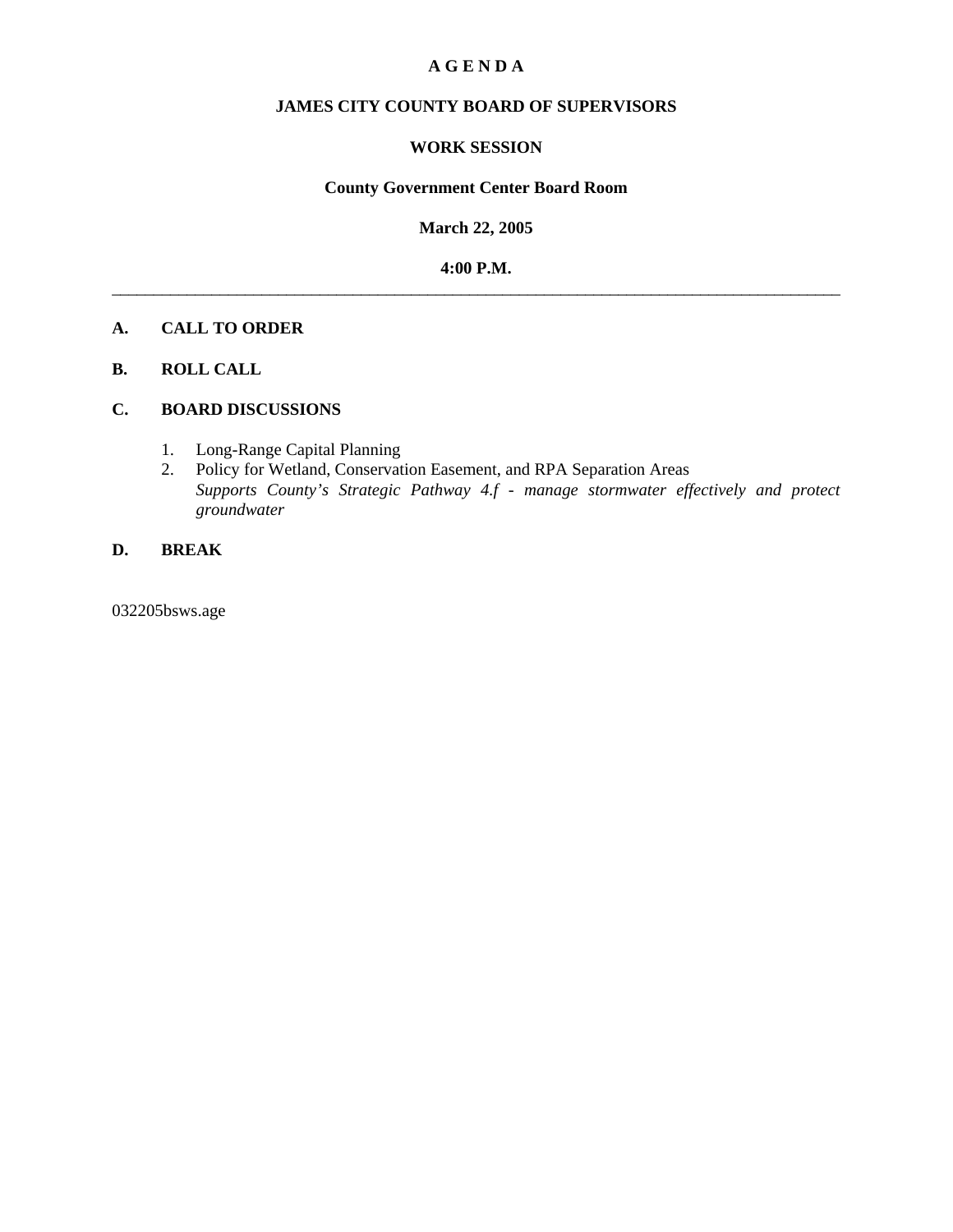#### **A G E N D A**

### **JAMES CITY COUNTY BOARD OF SUPERVISORS**

### **WORK SESSION**

#### **County Government Center Board Room**

**March 22, 2005**

**4:00 P.M.** \_\_\_\_\_\_\_\_\_\_\_\_\_\_\_\_\_\_\_\_\_\_\_\_\_\_\_\_\_\_\_\_\_\_\_\_\_\_\_\_\_\_\_\_\_\_\_\_\_\_\_\_\_\_\_\_\_\_\_\_\_\_\_\_\_\_\_\_\_\_\_\_\_\_\_\_\_\_\_\_\_\_\_\_\_\_\_\_

#### **A. CALL TO ORDER**

#### **B. ROLL CALL**

#### **C. BOARD DISCUSSIONS**

- 1. Long-Range Capital Planning
- 2. Policy for Wetland, Conservation Easement, and RPA Separation Areas  *Supports County's Strategic Pathway 4.f - manage stormwater effectively and protect groundwater*

### **D. BREAK**

032205bsws.age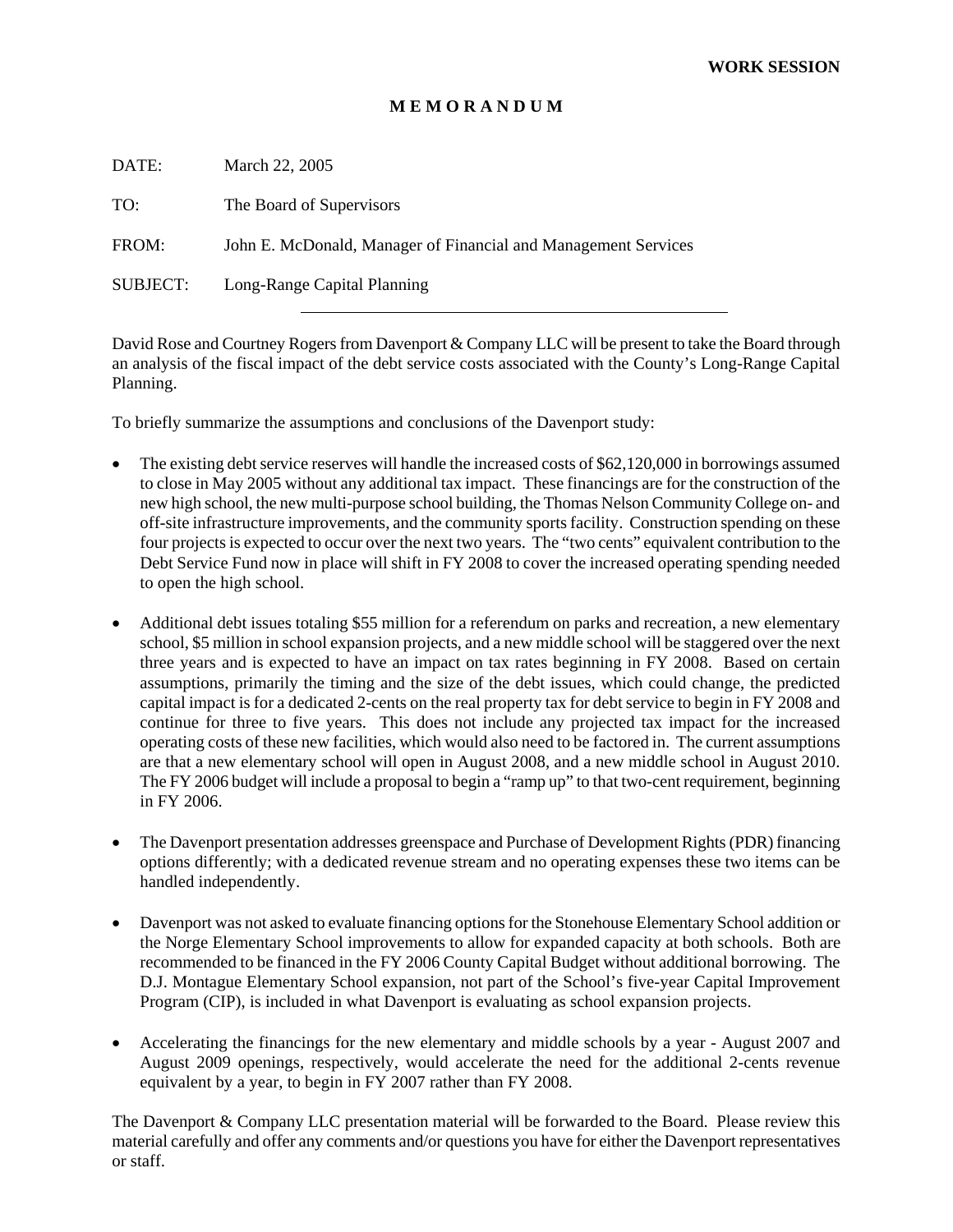### **M E M O R A N D U M**

| DATE:    | March 22, 2005                                                 |
|----------|----------------------------------------------------------------|
| TO:      | The Board of Supervisors                                       |
| FROM:    | John E. McDonald, Manager of Financial and Management Services |
| SUBJECT: | Long-Range Capital Planning                                    |
|          |                                                                |

David Rose and Courtney Rogers from Davenport & Company LLC will be present to take the Board through an analysis of the fiscal impact of the debt service costs associated with the County's Long-Range Capital Planning.

To briefly summarize the assumptions and conclusions of the Davenport study:

- The existing debt service reserves will handle the increased costs of \$62,120,000 in borrowings assumed to close in May 2005 without any additional tax impact. These financings are for the construction of the new high school, the new multi-purpose school building, the Thomas Nelson Community College on- and off-site infrastructure improvements, and the community sports facility. Construction spending on these four projects is expected to occur over the next two years. The "two cents" equivalent contribution to the Debt Service Fund now in place will shift in FY 2008 to cover the increased operating spending needed to open the high school.
- Additional debt issues totaling \$55 million for a referendum on parks and recreation, a new elementary school, \$5 million in school expansion projects, and a new middle school will be staggered over the next three years and is expected to have an impact on tax rates beginning in FY 2008. Based on certain assumptions, primarily the timing and the size of the debt issues, which could change, the predicted capital impact is for a dedicated 2-cents on the real property tax for debt service to begin in FY 2008 and continue for three to five years. This does not include any projected tax impact for the increased operating costs of these new facilities, which would also need to be factored in. The current assumptions are that a new elementary school will open in August 2008, and a new middle school in August 2010. The FY 2006 budget will include a proposal to begin a "ramp up" to that two-cent requirement, beginning in FY 2006.
- The Davenport presentation addresses greenspace and Purchase of Development Rights (PDR) financing options differently; with a dedicated revenue stream and no operating expenses these two items can be handled independently.
- Davenport was not asked to evaluate financing options for the Stonehouse Elementary School addition or the Norge Elementary School improvements to allow for expanded capacity at both schools. Both are recommended to be financed in the FY 2006 County Capital Budget without additional borrowing. The D.J. Montague Elementary School expansion, not part of the School's five-year Capital Improvement Program (CIP), is included in what Davenport is evaluating as school expansion projects.
- Accelerating the financings for the new elementary and middle schools by a year August 2007 and August 2009 openings, respectively, would accelerate the need for the additional 2-cents revenue equivalent by a year, to begin in FY 2007 rather than FY 2008.

The Davenport & Company LLC presentation material will be forwarded to the Board. Please review this material carefully and offer any comments and/or questions you have for either the Davenport representatives or staff.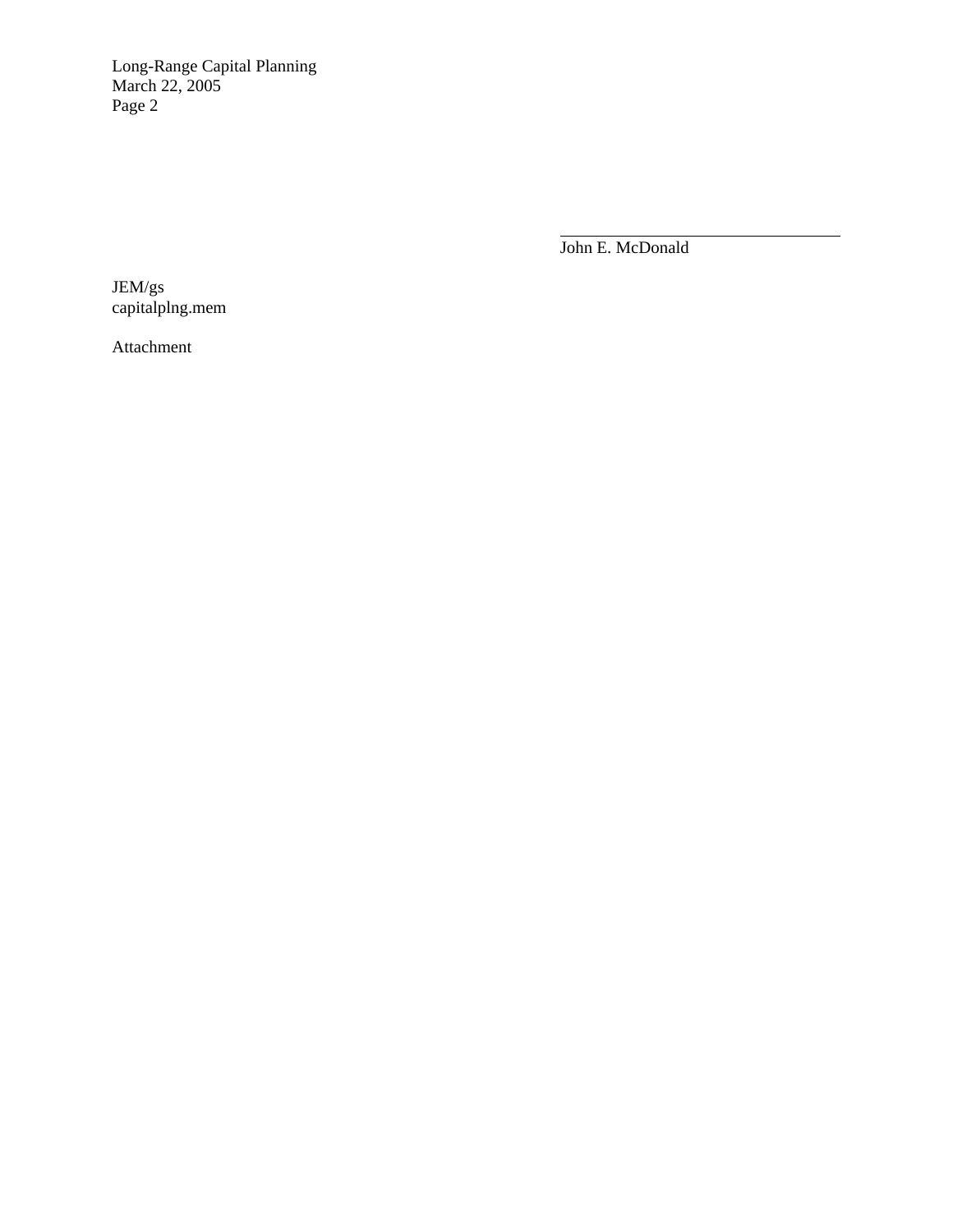Long-Range Capital Planning March 22, 2005 Page 2

> $\overline{a}$ John E. McDonald

JEM/gs capitalplng.mem

Attachment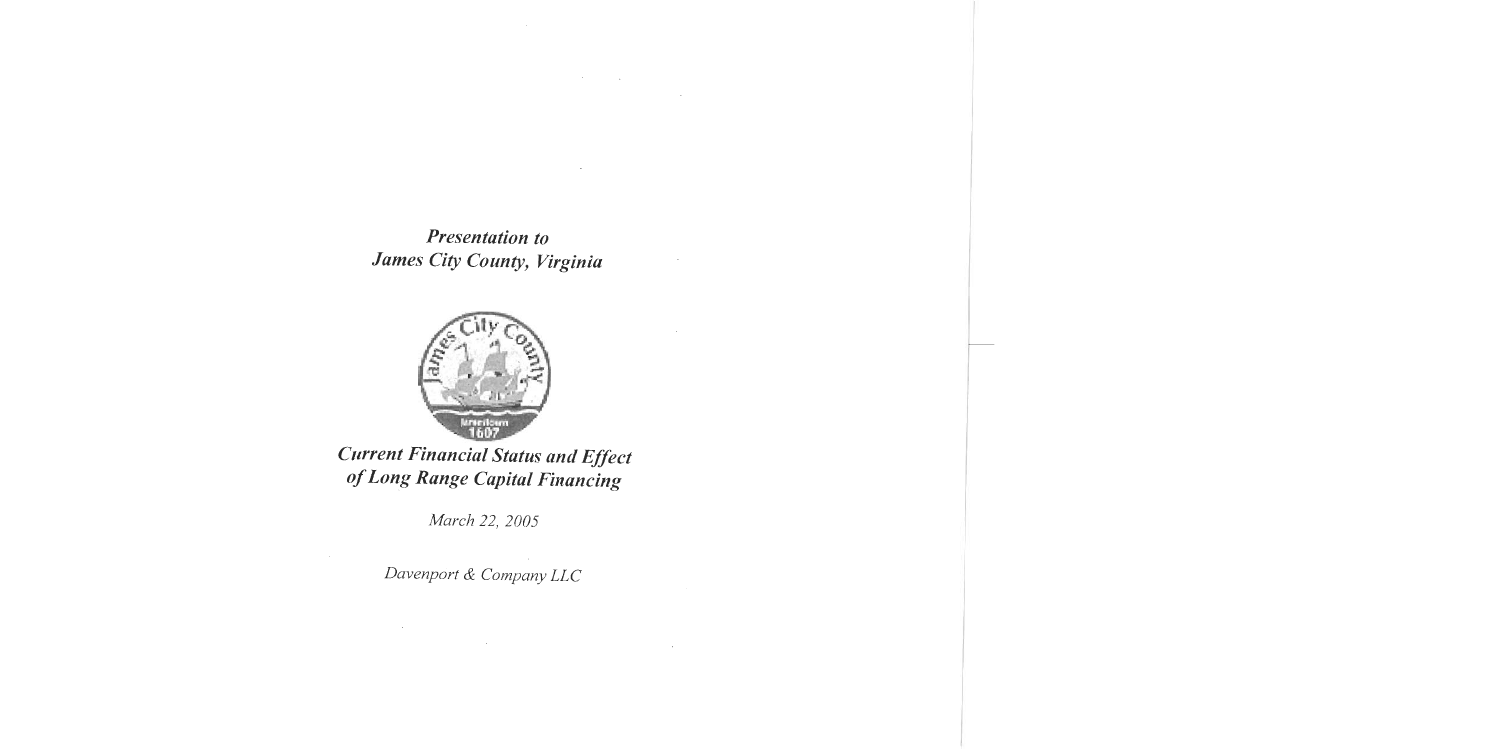**Presentation to** James City County, Virginia

 $\label{eq:2.1} \begin{split} \mathcal{L}_{\text{max}}(\mathcal{L}_{\text{max}}(\mathbf{X}, \mathbf{X})) = \mathcal{L}_{\text{max}}(\mathbf{X}, \mathbf{X}) \\ = \mathcal{L}_{\text{max}}(\mathbf{X}, \mathbf{X}) = \mathcal{L}_{\text{max}}(\mathbf{X}, \mathbf{X}) \end{split}$ 

 $\cdot$ 

 $\sim 100$ 



**Current Financial Status and Effect** of Long Range Capital Financing

March 22, 2005

Davenport & Company LLC

 $\label{eq:2.1} \frac{1}{\sqrt{2}}\sum_{i=1}^n\frac{1}{\sqrt{2}}\sum_{i=1}^n\frac{1}{\sqrt{2}}\sum_{i=1}^n\frac{1}{\sqrt{2}}\sum_{i=1}^n\frac{1}{\sqrt{2}}\sum_{i=1}^n\frac{1}{\sqrt{2}}\sum_{i=1}^n\frac{1}{\sqrt{2}}\sum_{i=1}^n\frac{1}{\sqrt{2}}\sum_{i=1}^n\frac{1}{\sqrt{2}}\sum_{i=1}^n\frac{1}{\sqrt{2}}\sum_{i=1}^n\frac{1}{\sqrt{2}}\sum_{i=1}^n\frac$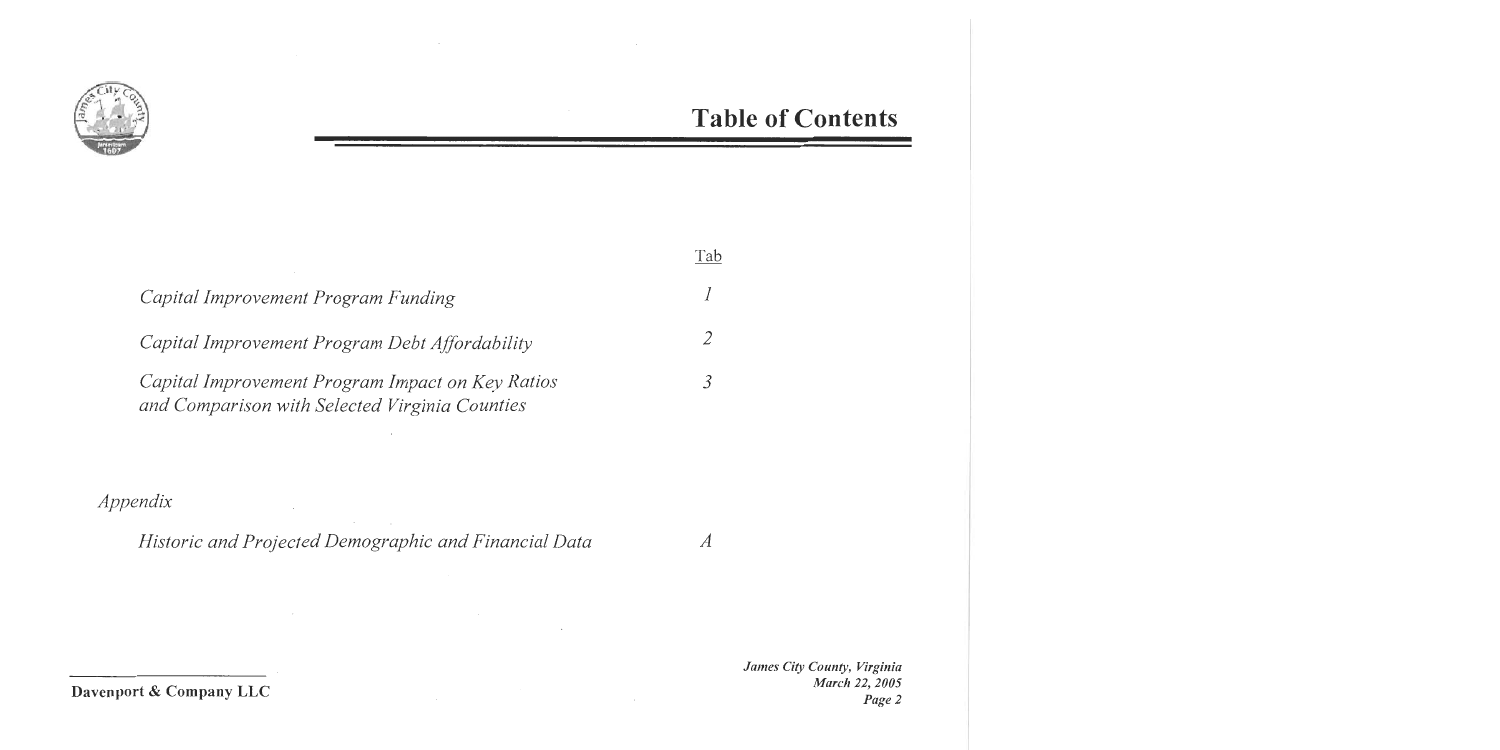

### **Table of Contents**

|                                                                                                    | Tab |
|----------------------------------------------------------------------------------------------------|-----|
| Capital Improvement Program Funding                                                                |     |
| Capital Improvement Program Debt Affordability                                                     |     |
| Capital Improvement Program Impact on Key Ratios<br>and Comparison with Selected Virginia Counties |     |

### Appendix

Historic and Projected Demographic and Financial Data  $\overline{A}$ 

 $\sim$ 

 $\sim$ 

 $\sim 10^{11}$ 

 $\sim$   $\sim$ 

James City County, Virginia March 22, 2005 Page 2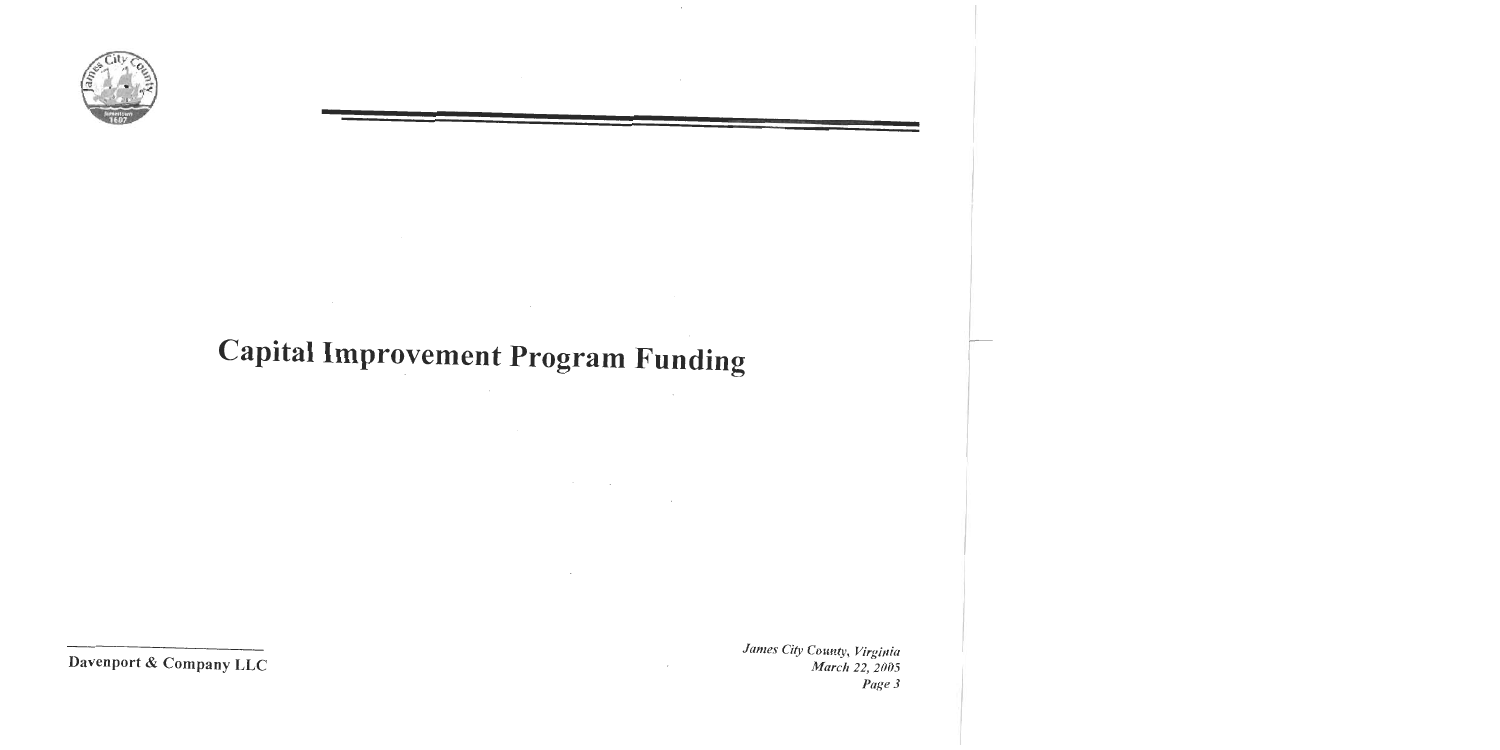

# **Capital Improvement Program Funding**

 $\mathcal{O}(\mathcal{O}_\mathcal{O})$  . The contract of the contract of the contract of the contract of the contract of the contract of the contract of the contract of the contract of the contract of the contract of the contract of the co

 $\mathcal{O}(10^{11} \, \mathrm{Mpc})$  . The  $\mathcal{O}(10^{11} \, \mathrm{Mpc})$ 

 $\cdot$ 

Davenport & Company LLC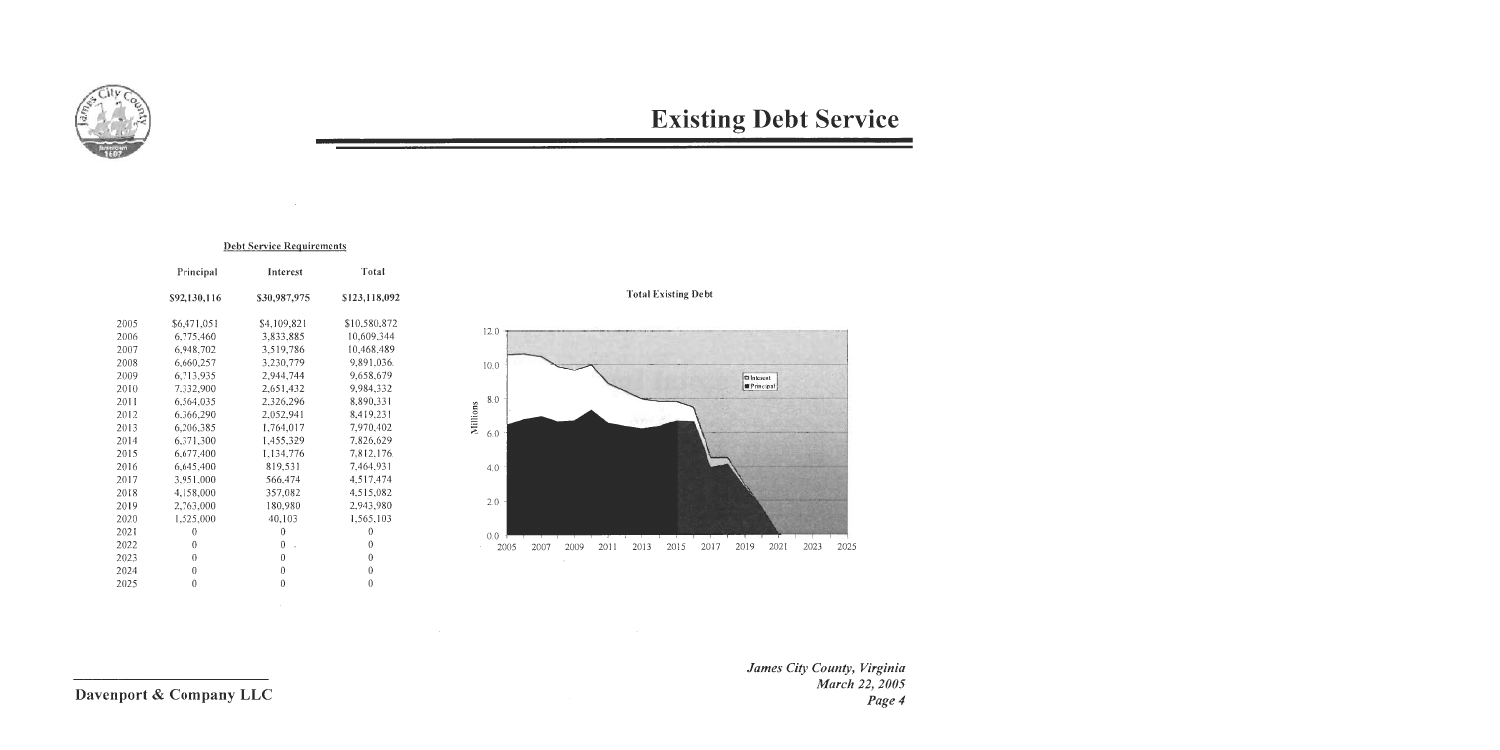

## **Existing Debt Service**

#### **Debt Service Requirements**

|      | Principal        | Interest             | Total         |
|------|------------------|----------------------|---------------|
|      | \$92,130,116     | \$30,987,975         | \$123,118,092 |
| 2005 | \$6,471,051      | \$4,109,821          | \$10,580,872  |
| 2006 | 6,775,460        | 3,833,885            | 10,609,344    |
| 2007 | 6,948,702        | 3,519,786            | 10,468,489    |
| 2008 | 6,660,257        | 3,230,779            | 9,891,036.    |
| 2009 | 6,713,935        | 2,944,744            | 9,658,679     |
| 2010 | 7.332,900        | 2,651,432            | 9,984,332     |
| 2011 | 6,564,035        | 2,326,296            | 8,890,331     |
| 2012 | 6,366,290        | 2,052,941            | 8,419,231     |
| 2013 | 6,206,385        | 1,764,017            | 7,970,402     |
| 2014 | 6,371,300        | 1,455,329            | 7,826,629     |
| 2015 | 6,677,400        | 1,134,776            | 7,812,176.    |
| 2016 | 6,645,400        | 819,531              | 7,464,931     |
| 2017 | 3,951,000        | 566,474              | 4,517,474     |
| 2018 | 4,158,000        | 357,082              | 4,515,082     |
| 2019 | 2,763,000        | 180,980              | 2,943,980     |
| 2020 | 1,525,000        | 40,103               | 1,565,103     |
| 2021 | $\theta$         | $\theta$             | 0             |
| 2022 | 0                | $\overline{0}$<br>J. | 0             |
| 2023 | $\theta$         | $\theta$             | 0             |
| 2024 | $\boldsymbol{0}$ | 0                    | 0             |
| 2025 | $\theta$         | $\theta$             | 0             |
|      |                  |                      |               |

 $\sim 10^7$ 

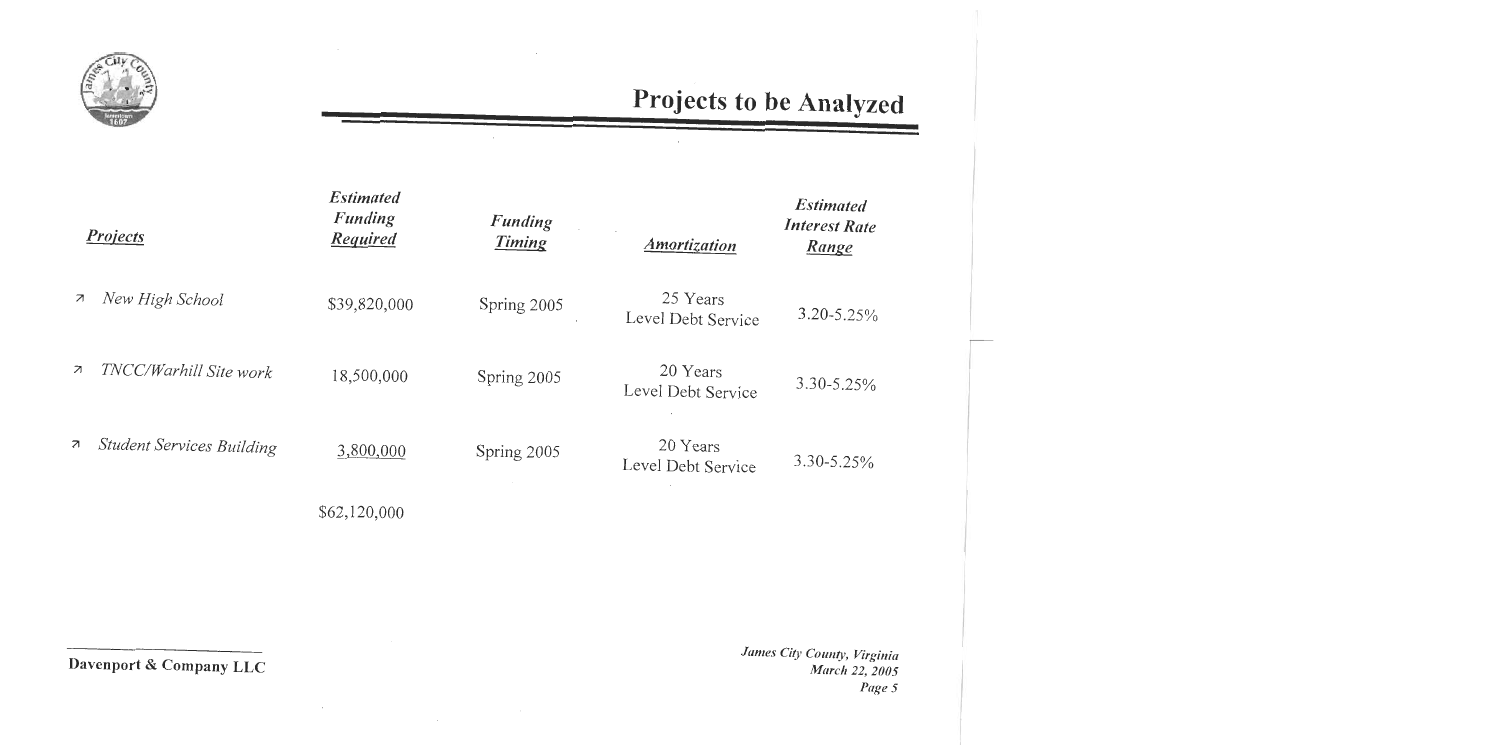

|                          | <b>Projects</b>                  | <b>Estimated</b><br><b>Funding</b><br><b>Required</b> | <b>Funding</b><br><b>Timing</b> | <i><b>Amortization</b></i>     | <b>Estimated</b><br><b>Interest Rate</b><br><u>Range</u> |
|--------------------------|----------------------------------|-------------------------------------------------------|---------------------------------|--------------------------------|----------------------------------------------------------|
| $\overline{\mathcal{A}}$ | New High School                  | \$39,820,000                                          | Spring 2005                     | 25 Years<br>Level Debt Service | $3.20 - 5.25\%$                                          |
| $\overline{\mathcal{A}}$ | TNCC/Warhill Site work           | 18,500,000                                            | Spring 2005                     | 20 Years<br>Level Debt Service | $3.30 - 5.25\%$                                          |
| $\overline{\mathcal{A}}$ | <b>Student Services Building</b> | 3,800,000                                             | Spring 2005                     | 20 Years<br>Level Debt Service | $3.30 - 5.25\%$                                          |
|                          |                                  | \$62,120,000                                          |                                 |                                |                                                          |

Davenport & Company LLC

 $\lambda$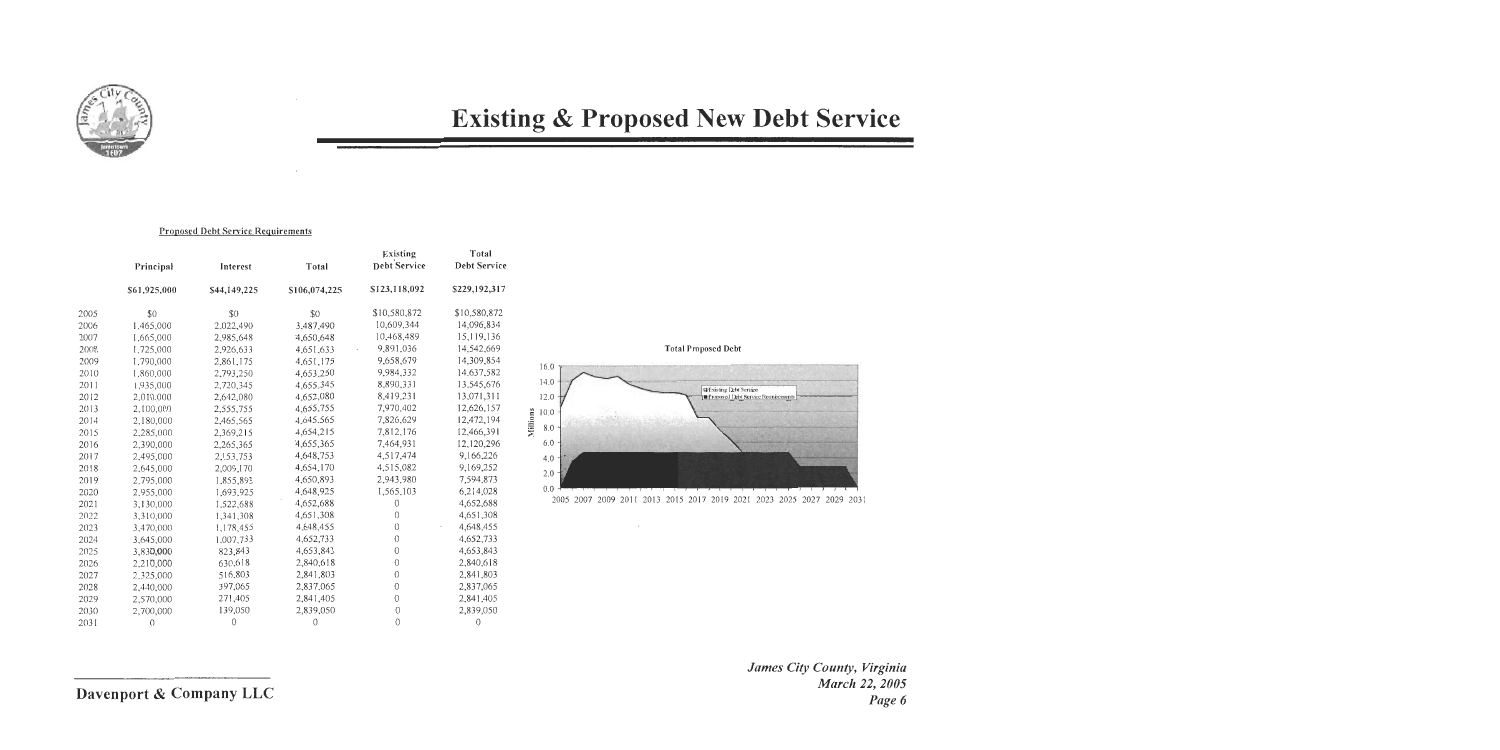

## **Existing & Proposed New Debt Service**

#### **Proposed Debt Service Requirements**

|      | Principal    | Interest     | Total         | Existing<br>Debt Service | Total<br>Debt Service |
|------|--------------|--------------|---------------|--------------------------|-----------------------|
|      | \$61,925,000 | \$44,149,225 | \$106,074,225 | \$123,118,092            | \$229,192,317         |
| 2005 | \$0          | \$0          | \$0           | \$10,580,872             | \$10,580,872          |
| 2006 | 1,465,000    | 2,022,490    | 3,487,490     | 10,609,344               | 14,096,834            |
| 2007 | 1,665,000    | 2,985,648    | 4,650,648     | 10,468,489               | 15,119,136            |
| 2008 | 1,725,000    | 2,926,633    | 4,651,633     | 9,891,036                | 14.542,669            |
| 2009 | 1,790,000    | 2,861,175    | 4,651,175     | 9,658,679                | 14,309,854            |
| 2010 | 1,860,000    | 2,793,250    | 4,653,250     | 9,984,332                | 14.637,582            |
| 2011 | 1,935,000    | 2,720,345    | 4,655.345     | 8,890,331                | 13.545,676            |
| 2012 | 2,010,000    | 2,642,080    | 4,652,080     | 8,419,231                | 13,071,311            |
| 2013 | 2,100,000    | 2,555,755    | 4,655,755     | 7,970,402                | 12,626,157            |
| 2014 | 2,180,000    | 2,465,565    | 4,645.565     | 7,826,629                | 12,472,194            |
| 2015 | 2,285,000    | 2,369,215    | 4,654,215     | 7,812,176                | 12,466,391            |
| 2016 | 2,390,000    | 2,265,365    | 4.655,365     | 7,464,931                | 12,120,296            |
| 2017 | 2,495,000    | 2,153,753    | 4,648,753     | 4,517,474                | 9,166,226             |
| 2018 | 2,645,000    | 2,009,170    | 4,654,170     | 4,515,082                | 9,169,252             |
| 2019 | 2,795,000    | 1,855,893    | 4,650,893     | 2,943,980                | 7,594,873             |
| 2020 | 2,955,000    | 1,693,925    | 4,648,925     | 1,565,103                | 6,214,028             |
| 2021 | 3,130,000    | 1,522,688    | 4,652,688     | $\theta$                 | 4,652,688             |
| 2022 | 3,310,000    | 1,341,308    | 4,651,308     | $\theta$                 | 4,651,308             |
| 2023 | 3,470,000    | 1,178,455    | 4,648,455     | $\theta$                 | 4,648,455             |
| 2024 | 3,645,000    | 1.007.733    | 4,652,733     | $\theta$                 | 4,652,733             |
| 2025 | 3,830,000    | 823,843      | 4,653,843     | $\theta$                 | 4,653,843             |
| 2026 | 2,210,000    | 630,618      | 2,840,618     | $\theta$                 | 2,840,618             |
| 2027 | 2,325,000    | 516,803      | 2,841,803     | $\overline{0}$           | 2,841,803             |
| 2028 | 2,440,000    | 397,065      | 2,837,065     | $\theta$                 | 2,837,065             |
| 2029 | 2,570,000    | 271,405      | 2,841,405     | $\overline{0}$           | 2,841,405             |
| 2030 | 2,700,000    | 139,050      | 2,839,050     | 0                        | 2,839,050             |
| 2031 | 0            | 0            | 0             | $\Omega$                 | $\theta$              |

 $\sim$ 



2005 2007 2009 2011 2013 2015 2017 2019 2021 2023 2025 2027 2029 2031

James City County, Virginia March 22, 2005 Page 6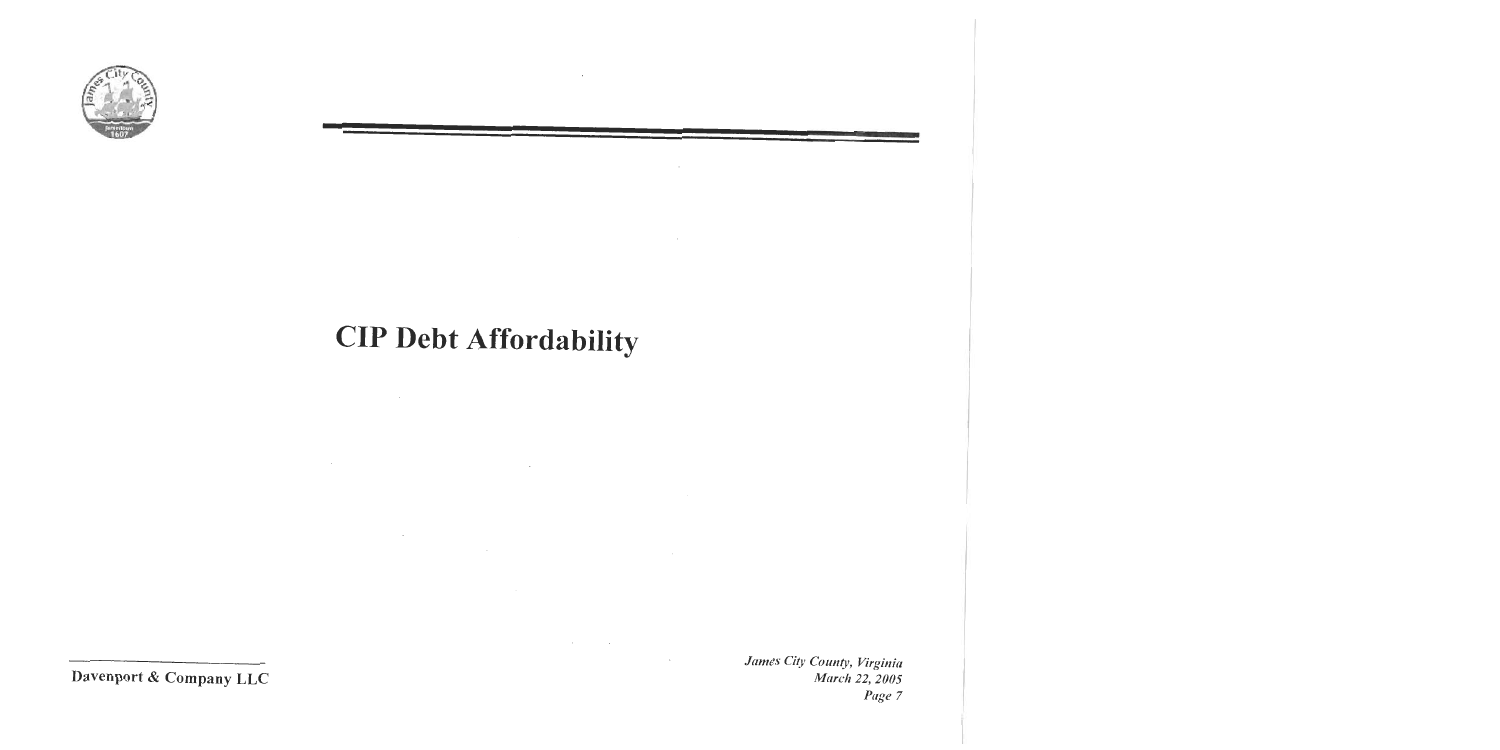

# **CIP Debt Affordability**

 $\sim 10^{11}$  km s  $^{-1}$ 

 $\sim 100$ 

 $\mathcal{L}^{\mathcal{L}}(\mathcal{L}^{\mathcal{L}}(\mathcal{L}^{\mathcal{L}}(\mathcal{L}^{\mathcal{L}}(\mathcal{L}^{\mathcal{L}}(\mathcal{L}^{\mathcal{L}}(\mathcal{L}^{\mathcal{L}}(\mathcal{L}^{\mathcal{L}}(\mathcal{L}^{\mathcal{L}}(\mathcal{L}^{\mathcal{L}}(\mathcal{L}^{\mathcal{L}}(\mathcal{L}^{\mathcal{L}}(\mathcal{L}^{\mathcal{L}}(\mathcal{L}^{\mathcal{L}}(\mathcal{L}^{\mathcal{L}}(\mathcal{L}^{\mathcal{L}}(\mathcal{L}^{\mathcal{L$ 

the control of the state of the control

 $\sim 10$ 

 $\sim 10^{-11}$ 

Davenport & Company LLC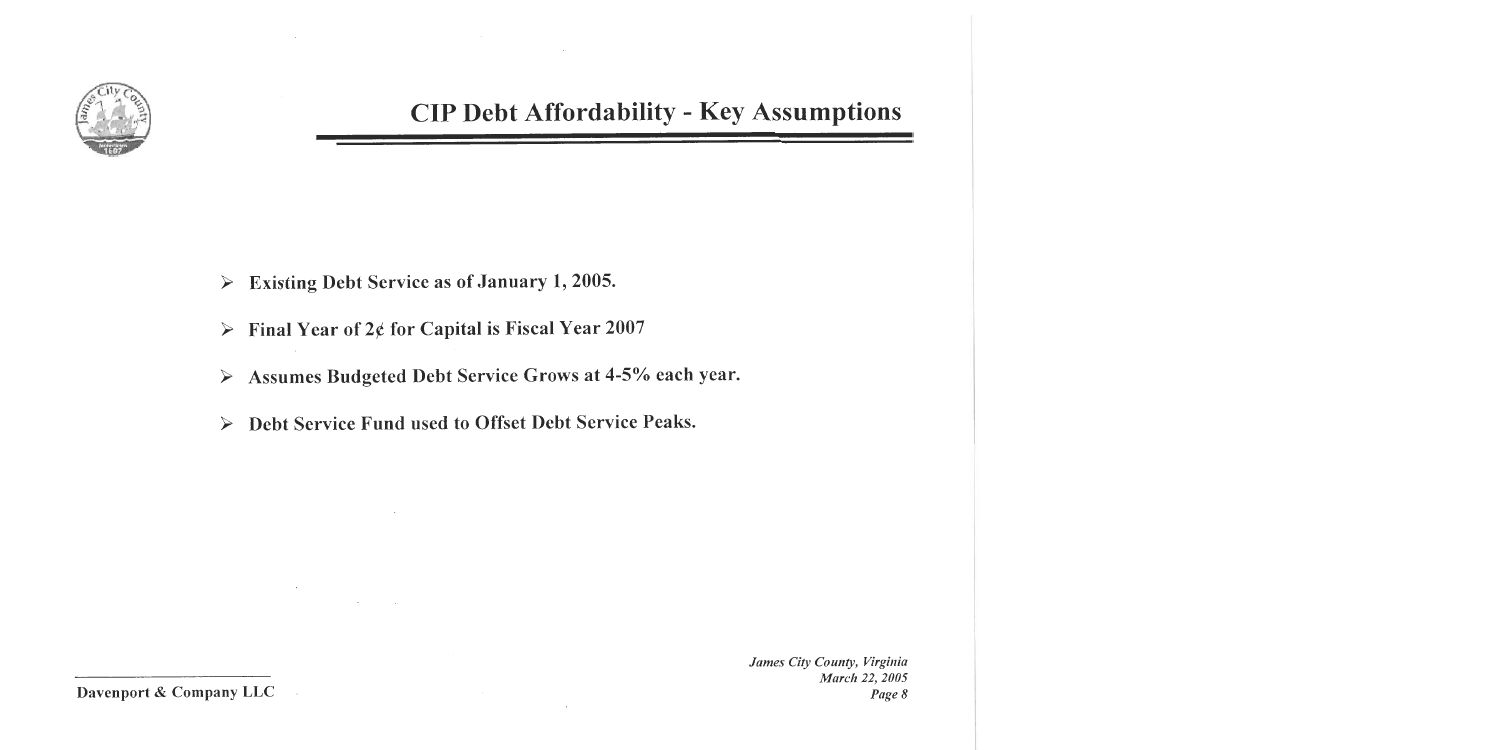

### **CIP Debt Affordability - Key Assumptions**

- Existing Debt Service as of January 1, 2005.  $\blacktriangleright$
- **Final Year of 2¢ for Capital is Fiscal Year 2007**  $\blacktriangleright$
- Assumes Budgeted Debt Service Grows at 4-5% each year.  $\blacktriangleright$
- Debt Service Fund used to Offset Debt Service Peaks.  $\blacktriangleright$

James City County, Virginia **March 22, 2005** Page 8

Davenport & Company LLC

 $\sim$ 

 $\sim$   $\sim$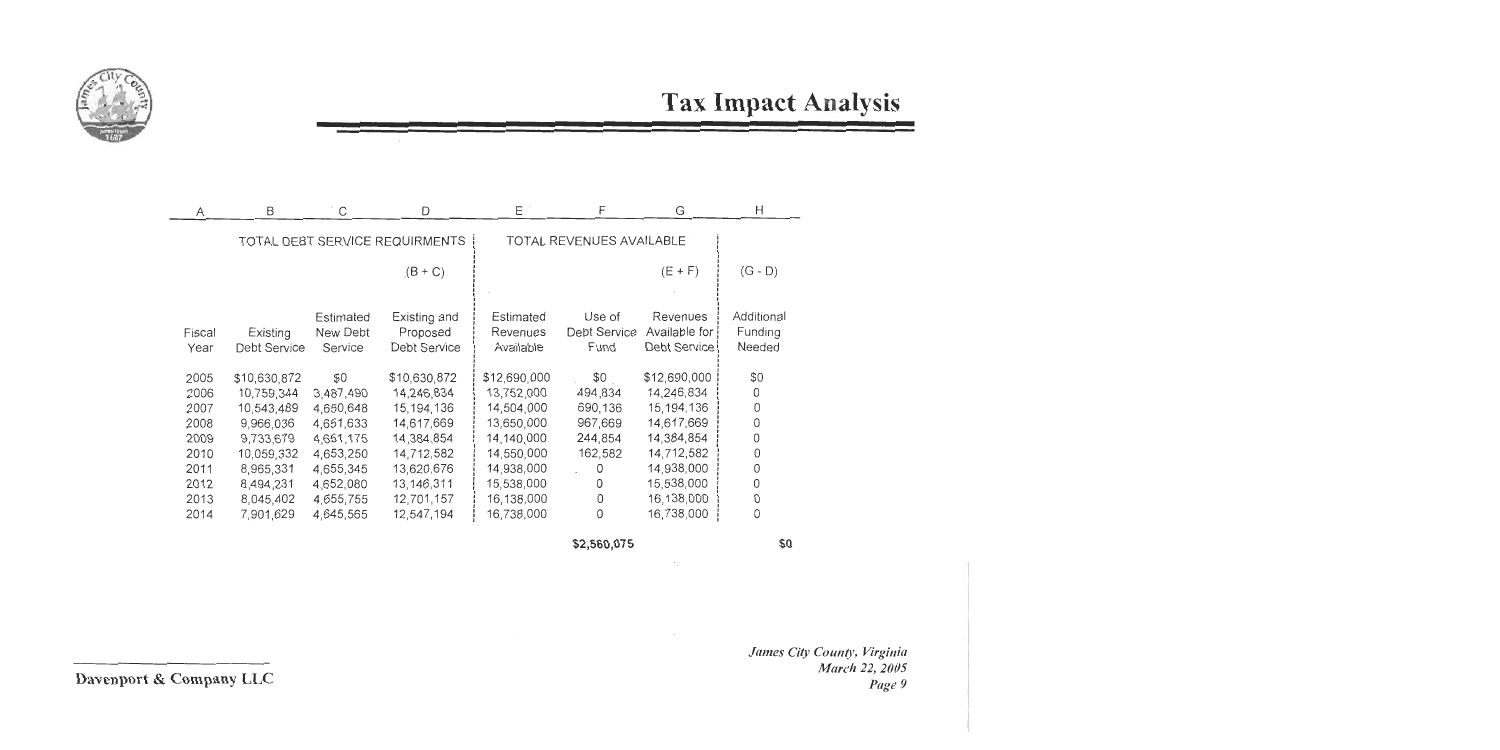

 $\mathbf{r}$ 

| Α      | ь            |           |                                |              |                          | G               | H          |
|--------|--------------|-----------|--------------------------------|--------------|--------------------------|-----------------|------------|
|        |              |           | TOTAL DEBT SERVICE REQUIRMENTS |              | TOTAL REVENUES AVAILABLE |                 |            |
|        |              |           | $(B+C)$                        |              |                          | $(E + F)$       | $(G - D)$  |
|        |              | Estimated |                                | Estimated    | Use of                   | Revenues        | Additional |
| Fiscal | Existing     | New Debt  | Existing and<br>Proposed       | Revenues     | Debt Service             | Available for i | Funding    |
|        |              |           |                                |              |                          | Debt Service!   |            |
| Year   | Debt Service | Service   | Debt Service                   | Available    | Fund                     |                 | Needed     |
| 2005   | \$10,630,872 | \$0       | \$10,630,872                   | \$12,690,000 | \$0                      | \$12,690,000    | \$0        |
| 2006   | 10,759,344   | 3,487,490 | 14,246,834                     | 13,752,000   | 494,834                  | 14,246,834      | 0          |
| 2007   | 10,543,489   | 4,650,648 | 15, 194, 136                   | 14,504,000   | 690,136                  | 15,194,136      | 0          |
| 2008   | 9,966,036    | 4,651,633 | 14,617,669                     | 13,650,000   | 967,669                  | 14,617,669      | 0          |
| 2009   | 9,733,679    | 4,651,175 | 14,384,854                     | 14,140,000   | 244,854                  | 14,384,854      | 0          |
| 2010   | 10,059,332   | 4,653,250 | 14,712,582                     | 14,550,000   | 162,582                  | 14,712,582      | 0          |
| 2011   | 8,965,331    | 4,655,345 | 13,620,676                     | 14,938,000   | 0                        | 14,938,000      | 0          |
| 2012   | 8,494,231    | 4,652,080 | 13, 146, 311                   | 15,538,000   | 0                        | 15,538,000      | 0          |
| 2013   | 8,045,402    | 4,655,755 | 12,701,157                     | 16,138,000   | 0                        | 16,138,000      | O          |
| 2014   | 7,901,629    | 4,645,565 | 12,547,194                     | 16,738,000   | 0                        | 16,738,000      | 0          |
|        |              |           |                                |              |                          |                 |            |

\$2,560,075

\$0

James City County, Virginia March 22, 2005 Page 9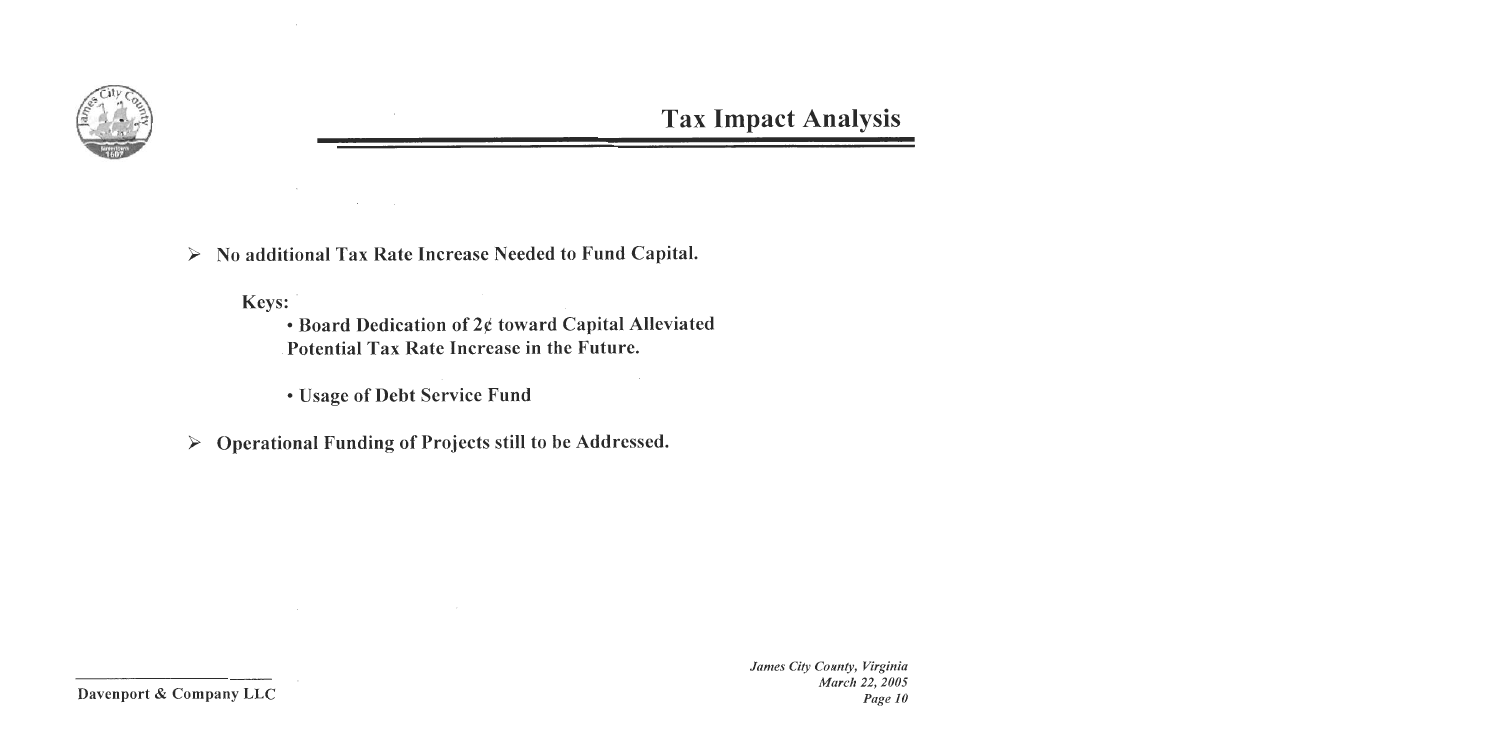

No additional Tax Rate Increase Needed to Fund Capital. ➤

Keys:

• Board Dedication of 2¢ toward Capital Alleviated Potential Tax Rate Increase in the Future.

• Usage of Debt Service Fund

Operational Funding of Projects still to be Addressed. ➤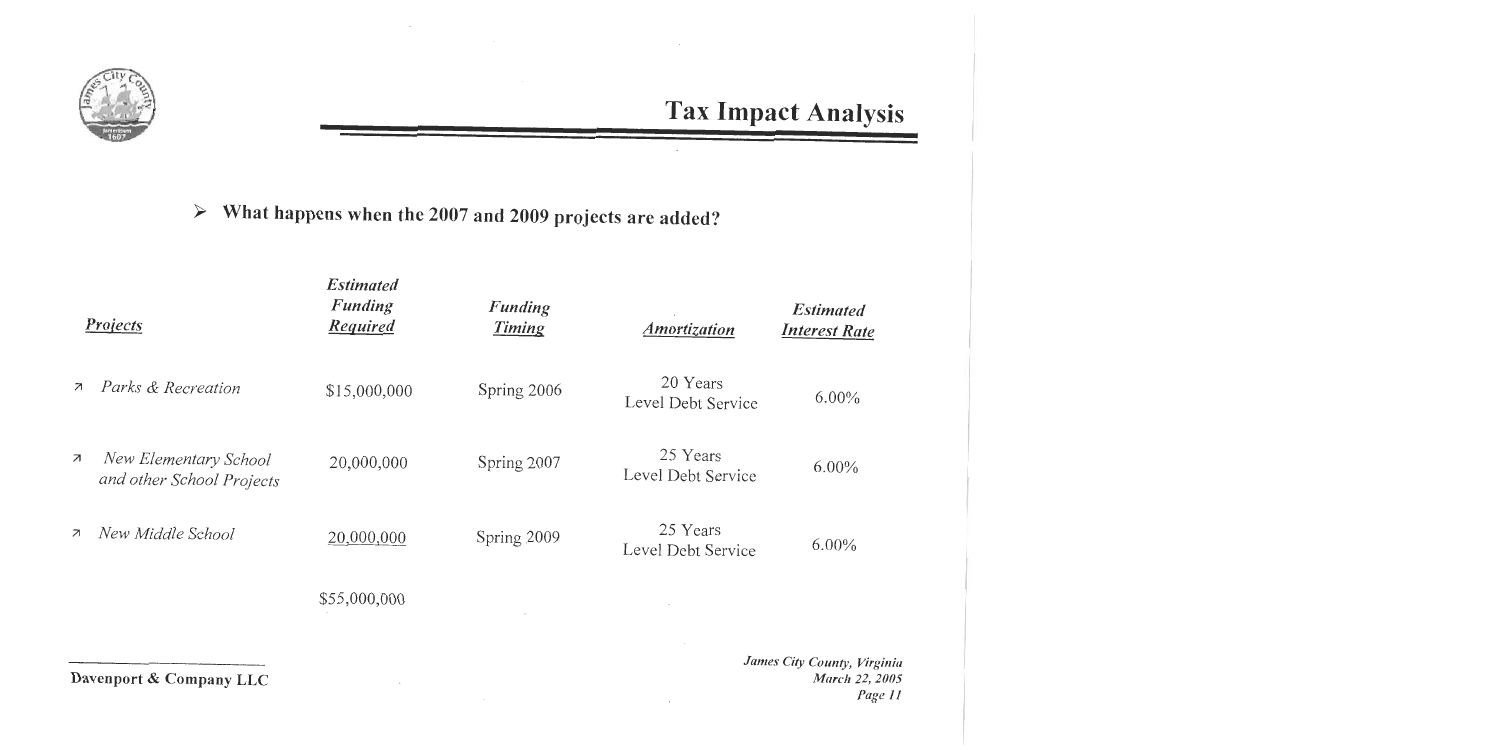

What happens when the 2007 and 2009 projects are added?  $\blacktriangleright$ 

|                          | <b>Projects</b>                                    | <b>Estimated</b><br>Funding<br><b>Required</b> | Funding<br>Timing | <b>Amortization</b>            | <b>Estimated</b><br><b>Interest Rate</b> |
|--------------------------|----------------------------------------------------|------------------------------------------------|-------------------|--------------------------------|------------------------------------------|
| $\overline{\mathcal{A}}$ | Parks & Recreation                                 | \$15,000,000                                   | Spring 2006       | 20 Years<br>Level Debt Service | $6.00\%$                                 |
| $\overline{\phantom{a}}$ | New Elementary School<br>and other School Projects | 20,000,000                                     | Spring 2007       | 25 Years<br>Level Debt Service | $6.00\%$                                 |
| $\overline{\mathcal{A}}$ | New Middle School                                  | 20,000,000                                     | Spring 2009       | 25 Years<br>Level Debt Service | $6.00\%$                                 |
|                          |                                                    | \$55,000,000                                   |                   |                                |                                          |
|                          |                                                    |                                                |                   |                                |                                          |

Davenport & Company LLC

James City County, Virginia March 22, 2005 Page 11

 $\epsilon$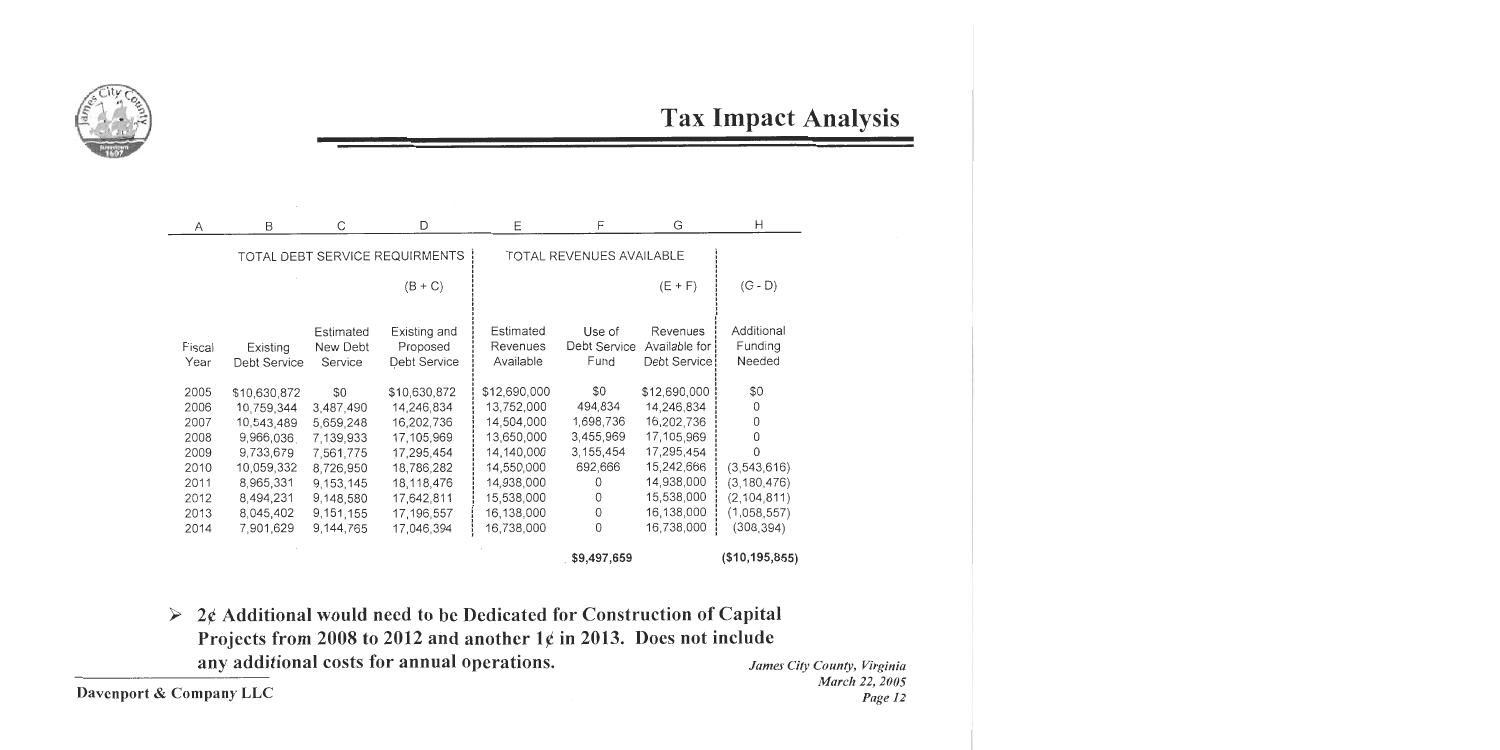

**Tax Impact Analysis** 

| Α      | B            | C         | D                              | Ε            | F                        | G               | Н                |
|--------|--------------|-----------|--------------------------------|--------------|--------------------------|-----------------|------------------|
|        |              |           | TOTAL DEBT SERVICE REQUIRMENTS |              | TOTAL REVENUES AVAILABLE |                 |                  |
|        |              |           |                                |              |                          |                 |                  |
|        |              |           | $(B+C)$                        |              |                          | $(E + F)$       | $(G - D)$        |
|        |              |           |                                |              |                          |                 |                  |
|        |              | Estimated | Existing and                   | Estimated    | Use of                   | Revenues        | Additional       |
| Fiscal | Existing     | New Debt  | Proposed                       | Revenues     | <b>Debt Service</b>      | Available for ! | Funding          |
| Year   | Debt Service | Service   | <b>Debt Service</b>            | Available    | Fund                     | Debt Service    | Needed           |
| 2005   | \$10,630,872 | \$0       | \$10,630,872                   | \$12,690,000 | \$0                      | \$12,690,000    | \$0              |
| 2006   | 10,759,344   | 3,487,490 | 14,246,834                     | 13,752,000   | 494,834                  | 14,246,834      | 0                |
| 2007   | 10,543,489   | 5,659,248 | 16,202,736                     | 14,504,000   | 1,698,736                | 16,202,736      | 0                |
| 2008   | 9,966,036    | 7,139,933 | 17,105,969                     | 13,650,000   | 3,455,969                | 17,105,969      | ∩                |
| 2009   | 9,733,679    | 7,561,775 | 17,295,454                     | 14,140,000   | 3,155,454                | 17,295,454      |                  |
| 2010   | 10,059,332   | 8,726,950 | 18,786,282                     | 14,550,000   | 692,666                  | 15,242,666      | (3,543,616)      |
| 2011   | 8,965,331    | 9,153,145 | 18,118,476                     | 14,938,000   | 0                        | 14,938,000      | (3, 180, 476)    |
| 2012   | 8,494,231    | 9,148,580 | 17,642,811                     | 15,538,000   | 0                        | 15,538,000      | (2, 104, 811)    |
| 2013   | 8,045,402    | 9,151,155 | 17,196,557                     | 16,138,000   | 0                        | 16,138,000      | (1,058,557)      |
| 2014   | 7,901,629    | 9,144,765 | 17,046,394                     | 16,738,000   | 0                        | 16,738,000      | (308, 394)       |
|        |              |           |                                |              | \$9,497,659              |                 | (\$10, 195, 855) |

 $\triangleright$  2¢ Additional would need to be Dedicated for Construction of Capital Projects from 2008 to 2012 and another  $1¢$  in 2013. Does not include any additional costs for annual operations.

Davenport & Company LLC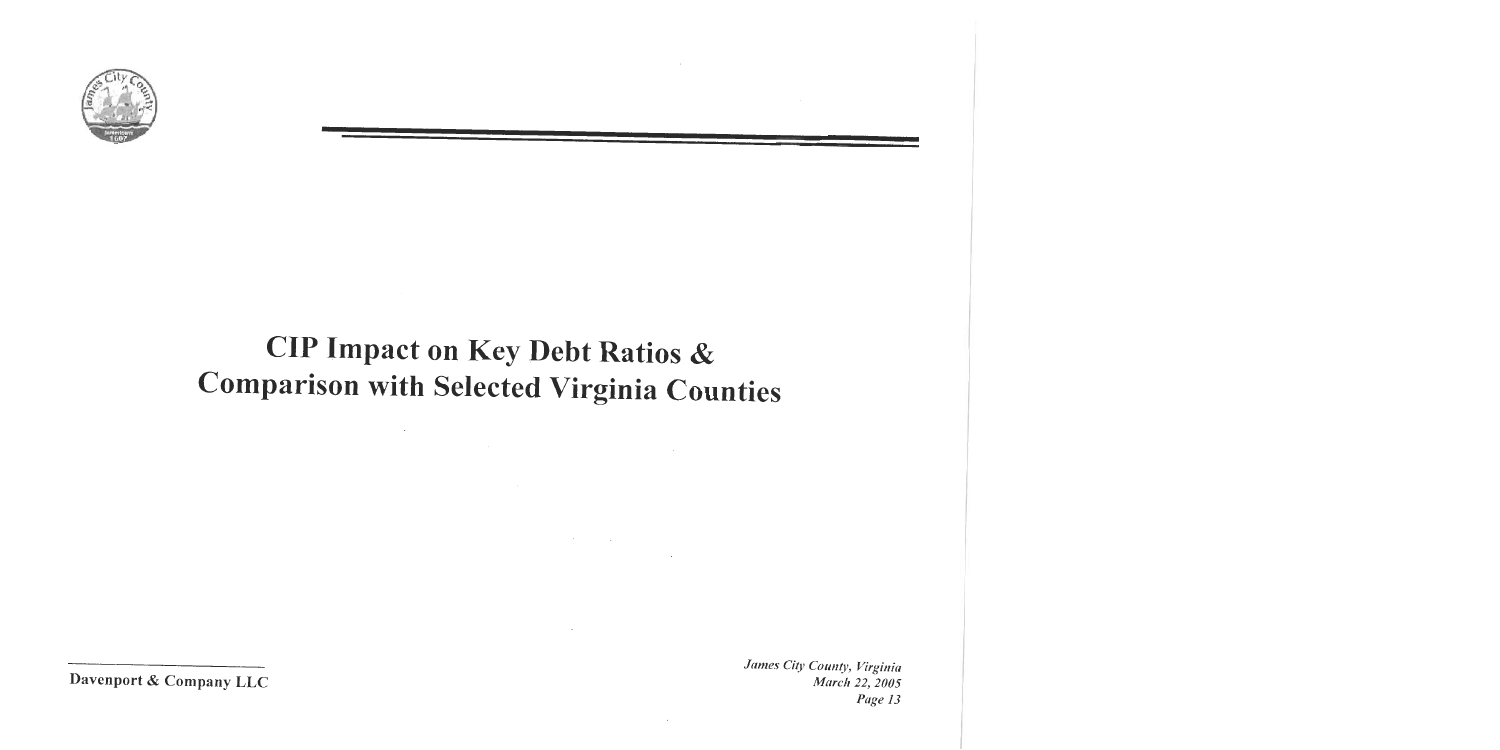

# **CIP Impact on Key Debt Ratios & Comparison with Selected Virginia Counties**

 $\mathcal{O}(10^6)$  . The second state  $\mathcal{O}(10^6)$ 

 $\sim$ 

 $\sim 10^{-10}$ 

Davenport & Company LLC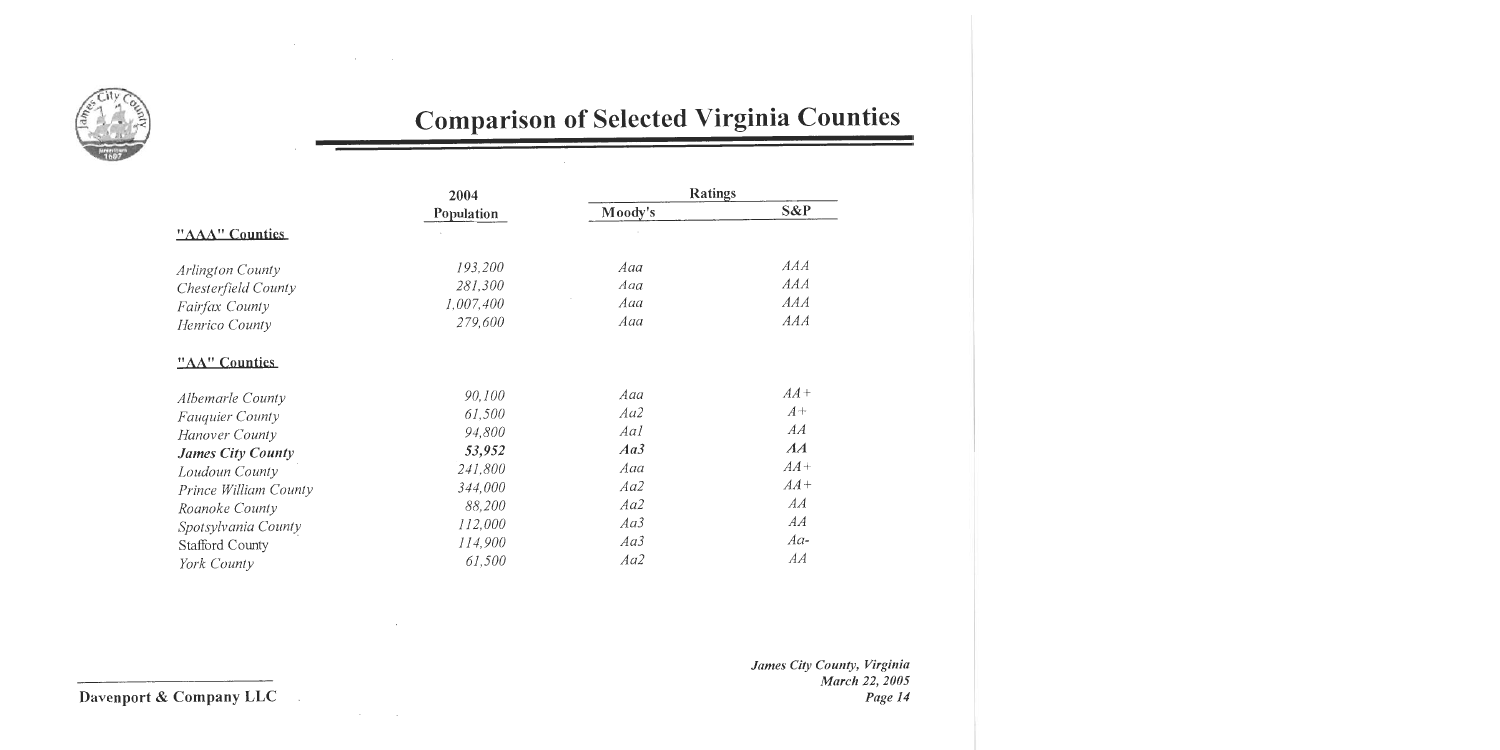

 $\bar{\alpha}$ 

 $\sim 10^7$ 

 $\sim$ 

# **Comparison of Selected Virginia Counties**

|                          | 2004       | <b>Ratings</b> |        |  |
|--------------------------|------------|----------------|--------|--|
|                          | Population | Moody's        | S&P    |  |
| "AAA" Counties           |            |                |        |  |
| Arlington County         | 193,200    | Aaa            | AAA    |  |
| Chesterfield County      | 281,300    | Aaa            | AAA    |  |
| Fairfax County           | 1,007,400  | Aaa            | AAA    |  |
| Henrico County           | 279,600    | Aaa            | AAA    |  |
| "AA" Counties            |            |                |        |  |
| Albemarle County         | 90,100     | Aaa            | $AA +$ |  |
| Fauquier County          | 61,500     | Aa2            | $A+$   |  |
| Hanover County           | 94,800     | Aal            | AA     |  |
| <b>James City County</b> | 53,952     | Aa3            | AA     |  |
| Loudoun County           | 241,800    | Aaa            | $AA+$  |  |
| Prince William County    | 344,000    | Aa2            | $AA+$  |  |
| Roanoke County           | 88,200     | Aa2            | AA     |  |
| Spotsylvania County      | 112,000    | Aa3            | AA     |  |
| <b>Stafford County</b>   | 114,900    | Aa3            | $Aa-$  |  |
| York County              | 61,500     | Aa2            | AA     |  |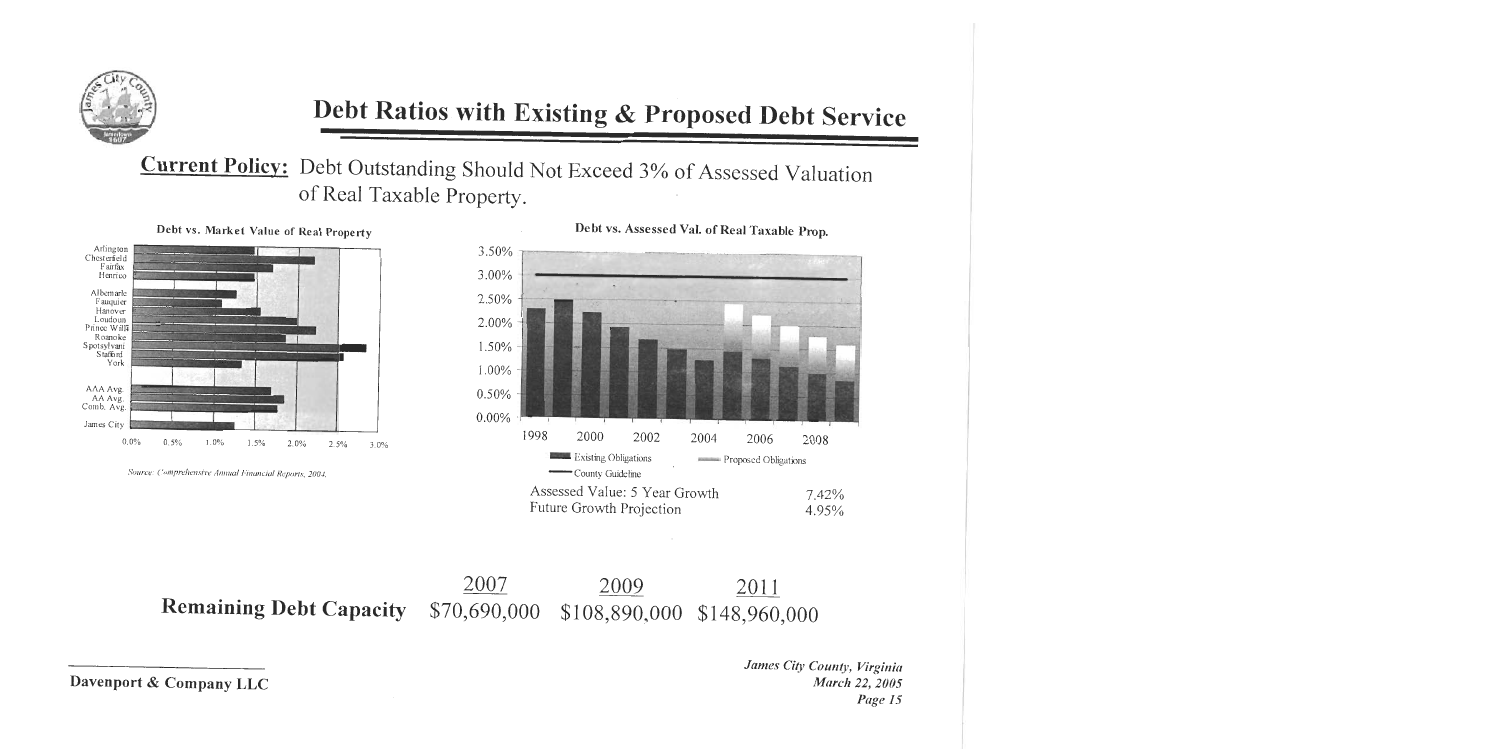

**Current Policy:** Debt Outstanding Should Not Exceed 3% of Assessed Valuation of Real Taxable Property.

Debt vs. Market Value of Real Property



Source: Comprehensive Annual Financial Reports, 2004.



Debt vs. Assessed Val. of Real Taxable Prop.

2007 2009 2011 **Remaining Debt Capacity** \$70,690,000 \$108,890,000 \$148,960,000

Davenport & Company LLC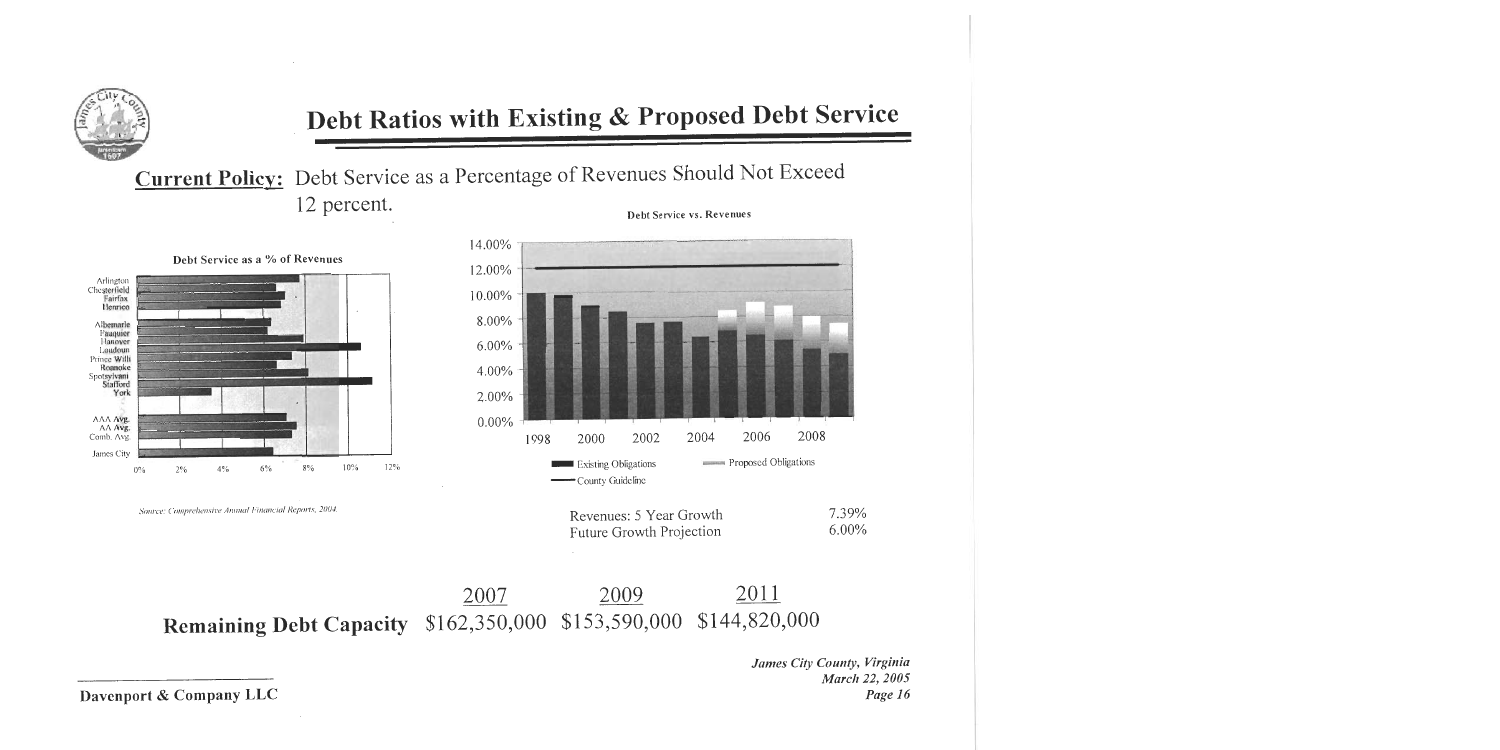

**Current Policy:** Debt Service as a Percentage of Revenues Should Not Exceed 12 percent. Debt Service vs. Revenues



Source: Comprehensive Annual Financial Reports, 2004.



| Revenues: 5 Year Growth  | 7.39%    |
|--------------------------|----------|
| Future Growth Projection | $6.00\%$ |

#### 2011 2009 2007 Remaining Debt Capacity \$162,350,000 \$153,590,000 \$144,820,000

James City County, Virginia March 22, 2005 Page 16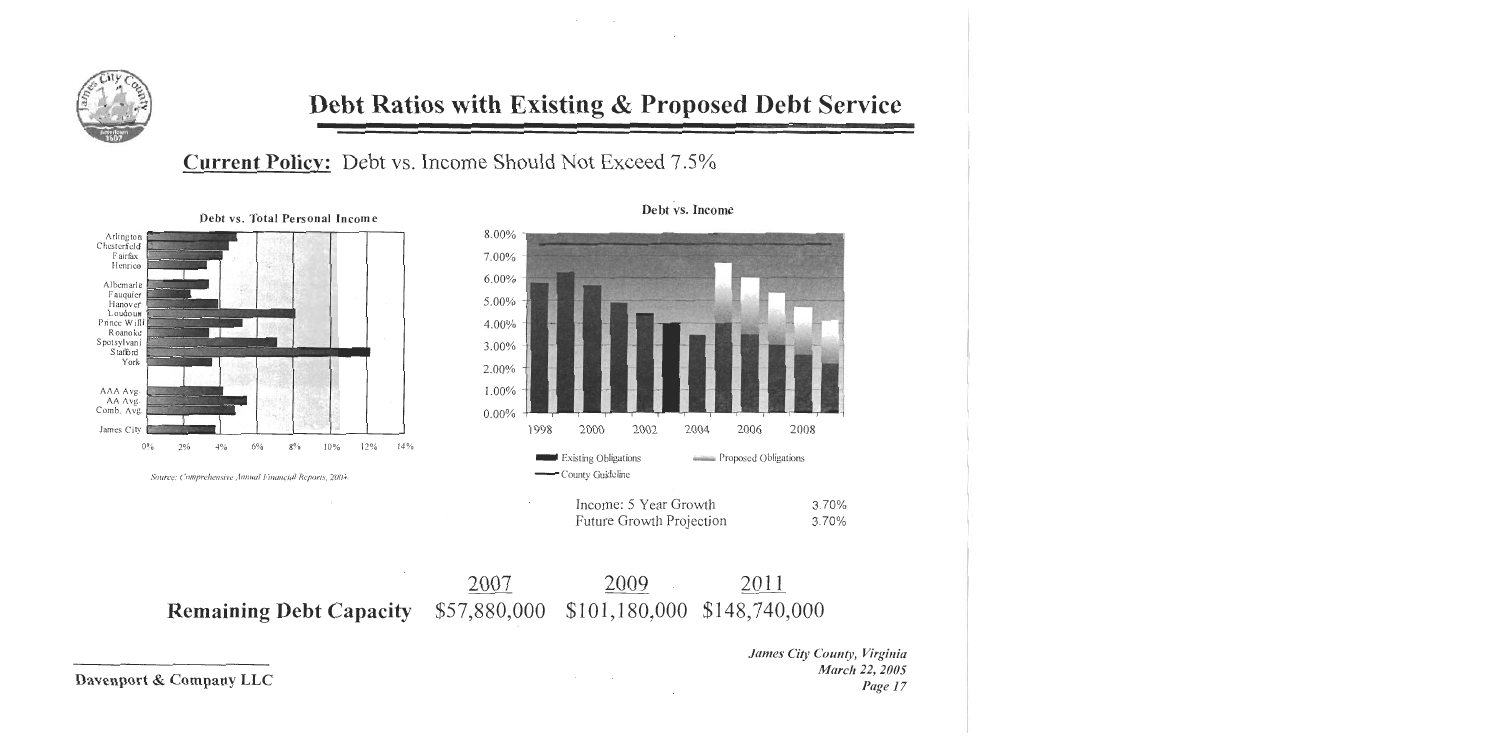

 $\sim$   $\sim$ 

### **Current Policy:** Debt vs. Income Should Not Exceed 7.5%



Source: Comprehensive Annual Financial Reports, 2004.



 $\sim 100$ 

Debt vs. Income

| Income: 5 Year Growth    | 3.70% |
|--------------------------|-------|
| Future Growth Projection | 3.70% |

2007 2009 2011 Remaining Debt Capacity \$57,880,000 \$101,180,000 \$148,740,000

> James City County, Virginia March 22, 2005 Page 17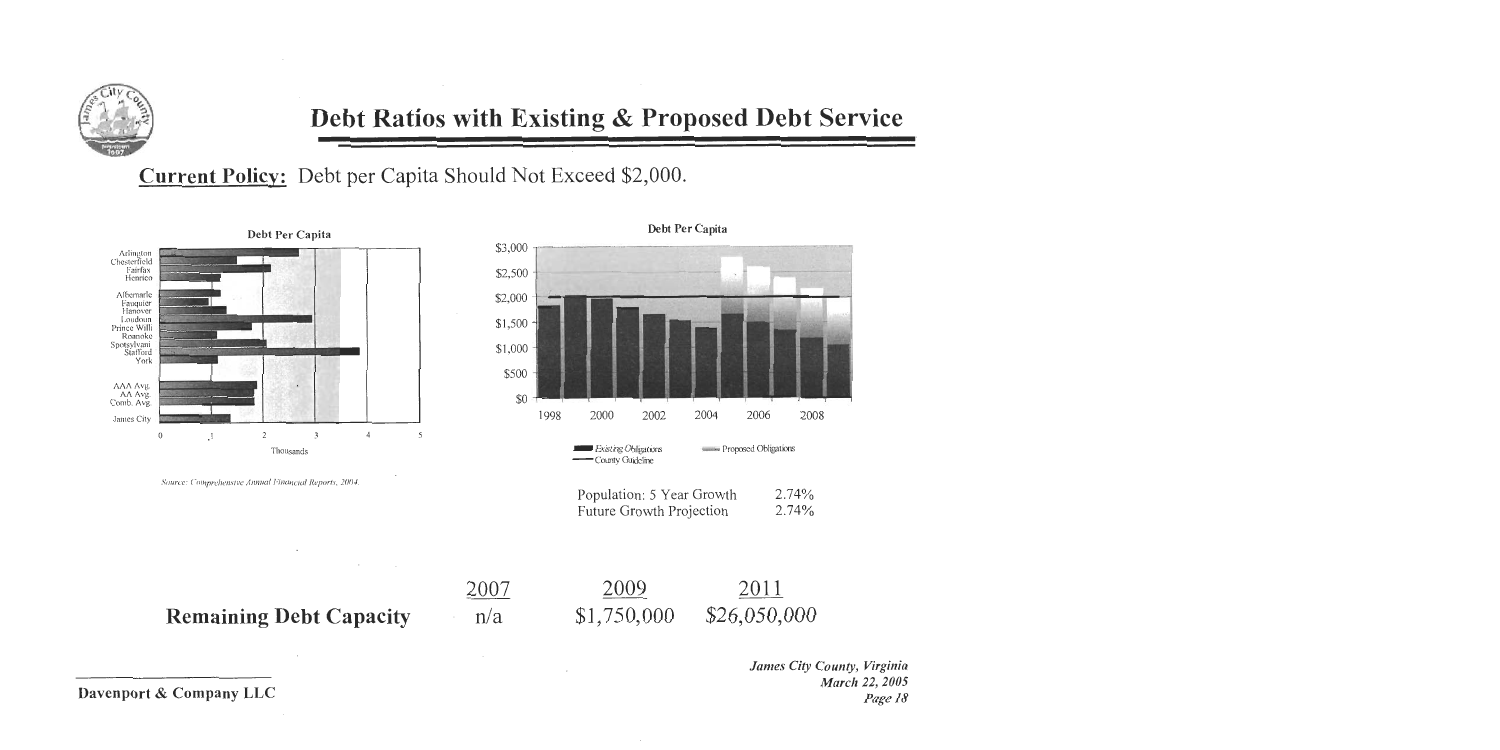

**Current Policy:** Debt per Capita Should Not Exceed \$2,000.



Source: Comprehensive Annual Financial Reports, 2004.

 $\cdot$ 

 $\sim$ 

 $\sim 100$ 



|                                | 2007 | 2009        | 2011         |
|--------------------------------|------|-------------|--------------|
| <b>Remaining Debt Capacity</b> | n/a  | \$1,750,000 | \$26,050,000 |

 $\sim$ 

 $\sim$ 

James City County, Virginia March 22, 2005 Page 18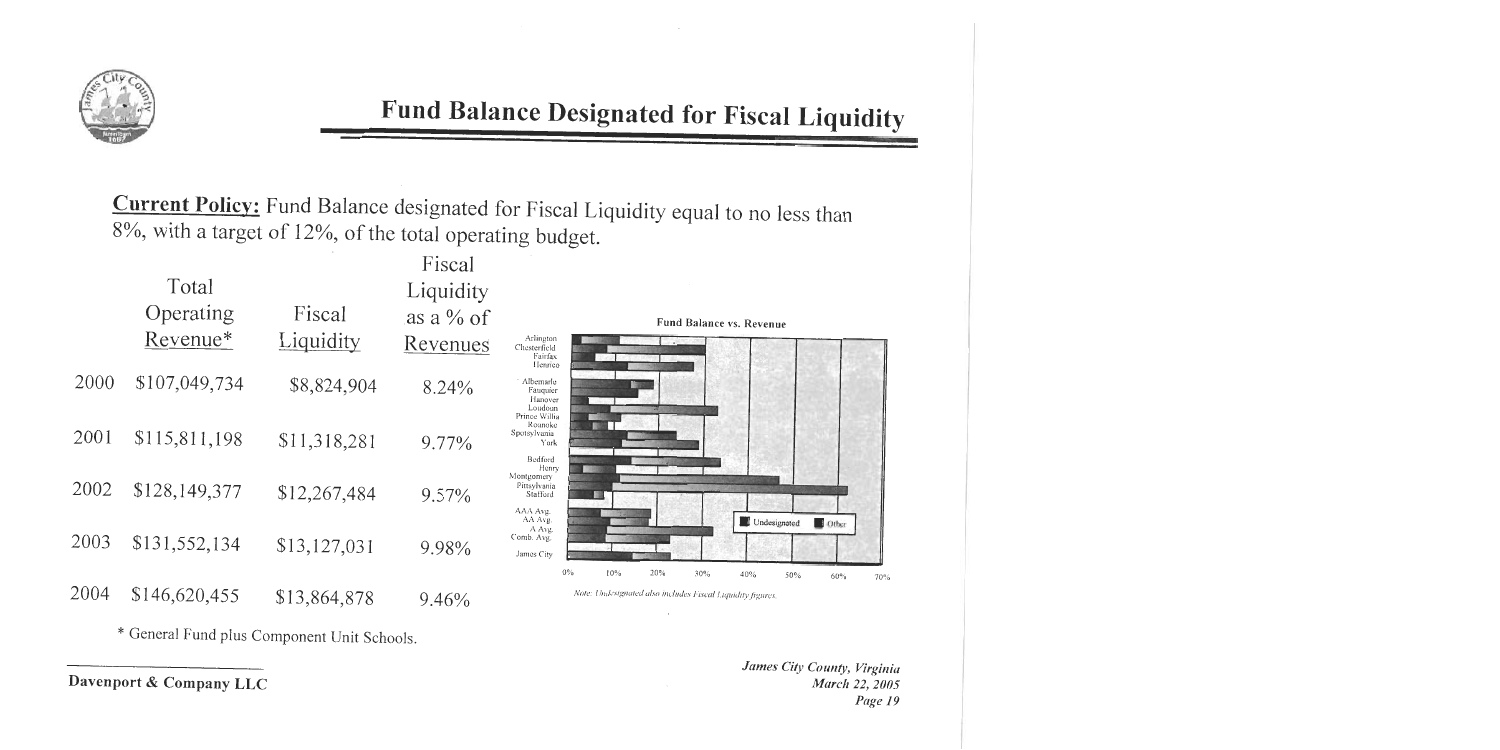

# Fund Balance Designated for Fiscal Liquidity

**Current Policy:** Fund Balance designated for Fiscal Liquidity equal to no less than 8%, with a target of 12%, of the total operating budget.

|      |               |                  | Fiscal       |                                                                                               |     |
|------|---------------|------------------|--------------|-----------------------------------------------------------------------------------------------|-----|
|      | Total         |                  | Liquidity    |                                                                                               |     |
|      | Operating     | Fiscal           | as a $\%$ of | Fund Balance vs. Revenue                                                                      |     |
|      | Revenue*      | <b>Liquidity</b> | Revenues     | Arlington<br>Chesterfield<br>Fairfax<br>Henrico                                               |     |
| 2000 | \$107,049,734 | \$8,824,904      | 8.24%        | Albemarle<br>Fauquier<br>Hanover<br>Loudoun<br>Prince Willia                                  |     |
| 2001 | \$115,811,198 | \$11,318,281     | 9.77%        | Roanoke<br>Spotsylvania<br>York<br>Bedford<br>Henry                                           |     |
| 2002 | \$128,149,377 | \$12,267,484     | $9.57\%$     | Montgomery<br>Pittsylvania<br>Stafford<br>AAA Avg.<br>AA Avg.<br><b>Undesignated</b><br>Other |     |
| 2003 | \$131,552,134 | \$13,127,031     | 9.98%        | A Avg.<br>Comb. Avg.<br>James City<br>0%<br>10%<br>20%<br>30%<br>40%<br>50%<br>60%            |     |
| 2004 | \$146,620,455 | \$13,864,878     | 9.46%        | Note: Undesignated also includes Fiscal Liquidity figures.                                    | 70% |

\* General Fund plus Component Unit Schools.

James City County, Virginia March 22, 2005 Page 19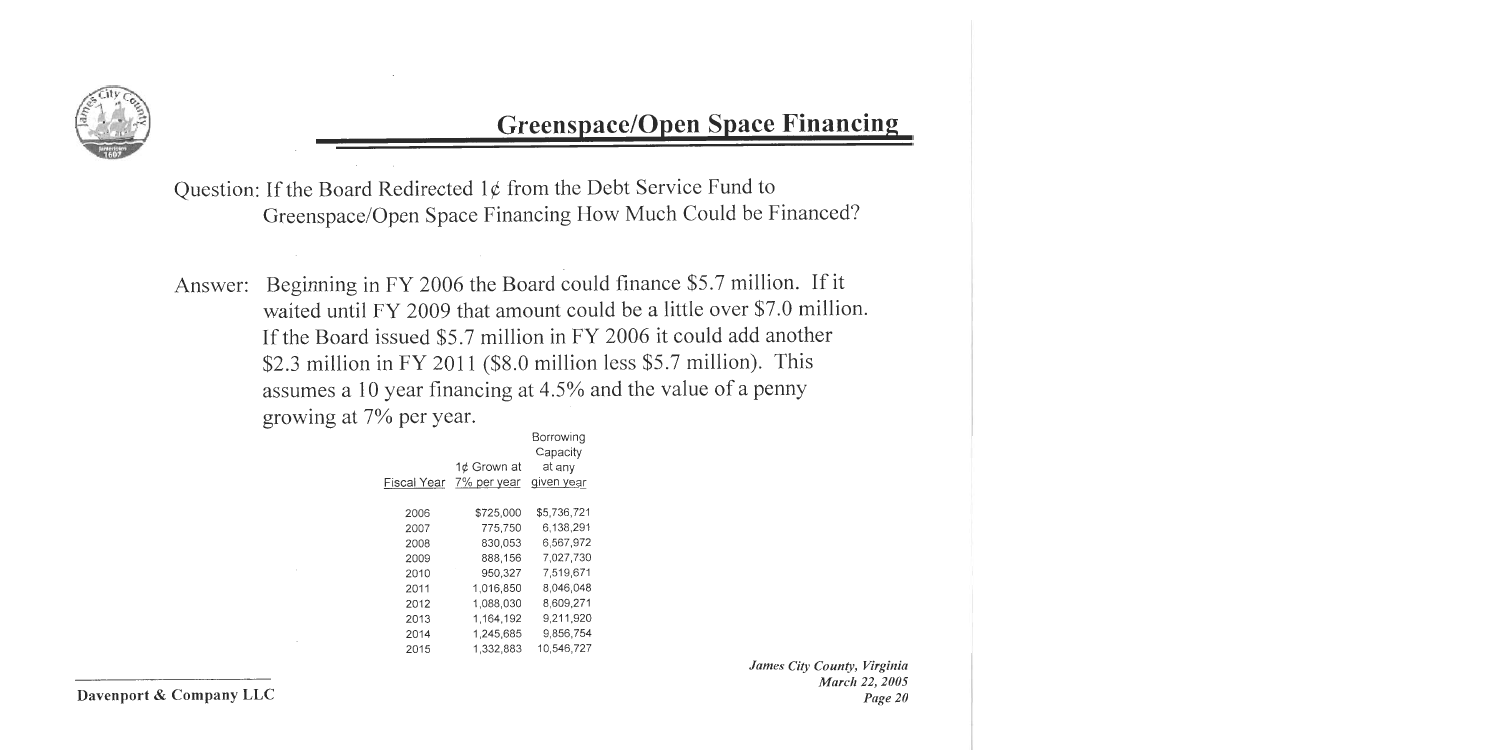

## **Greenspace/Open Space Financing**

Question: If the Board Redirected  $1¢$  from the Debt Service Fund to Greenspace/Open Space Financing How Much Could be Financed?

Beginning in FY 2006 the Board could finance \$5.7 million. If it Answer: waited until FY 2009 that amount could be a little over \$7.0 million. If the Board issued \$5.7 million in FY 2006 it could add another \$2.3 million in FY 2011 (\$8.0 million less \$5.7 million). This assumes a 10 year financing at 4.5% and the value of a penny growing at 7% per year.

|             |             | Borrowing   |
|-------------|-------------|-------------|
|             |             | Capacity    |
|             | 1¢ Grown at | at any      |
| Fiscal Year | 7% per year | given year  |
|             |             |             |
| 2006        | \$725,000   | \$5,736,721 |
| 2007        | 775,750     | 6,138,291   |
| 2008        | 830,053     | 6,567,972   |
| 2009        | 888,156     | 7.027.730   |
| 2010        | 950,327     | 7,519,671   |
| 2011        | 1,016,850   | 8,046,048   |
| 2012        | 1,088,030   | 8.609,271   |
| 2013        | 1,164,192   | 9.211,920   |
| 2014        | 1,245,685   | 9,856,754   |
| 2015        | 1.332.883   | 10.546.727  |
|             |             |             |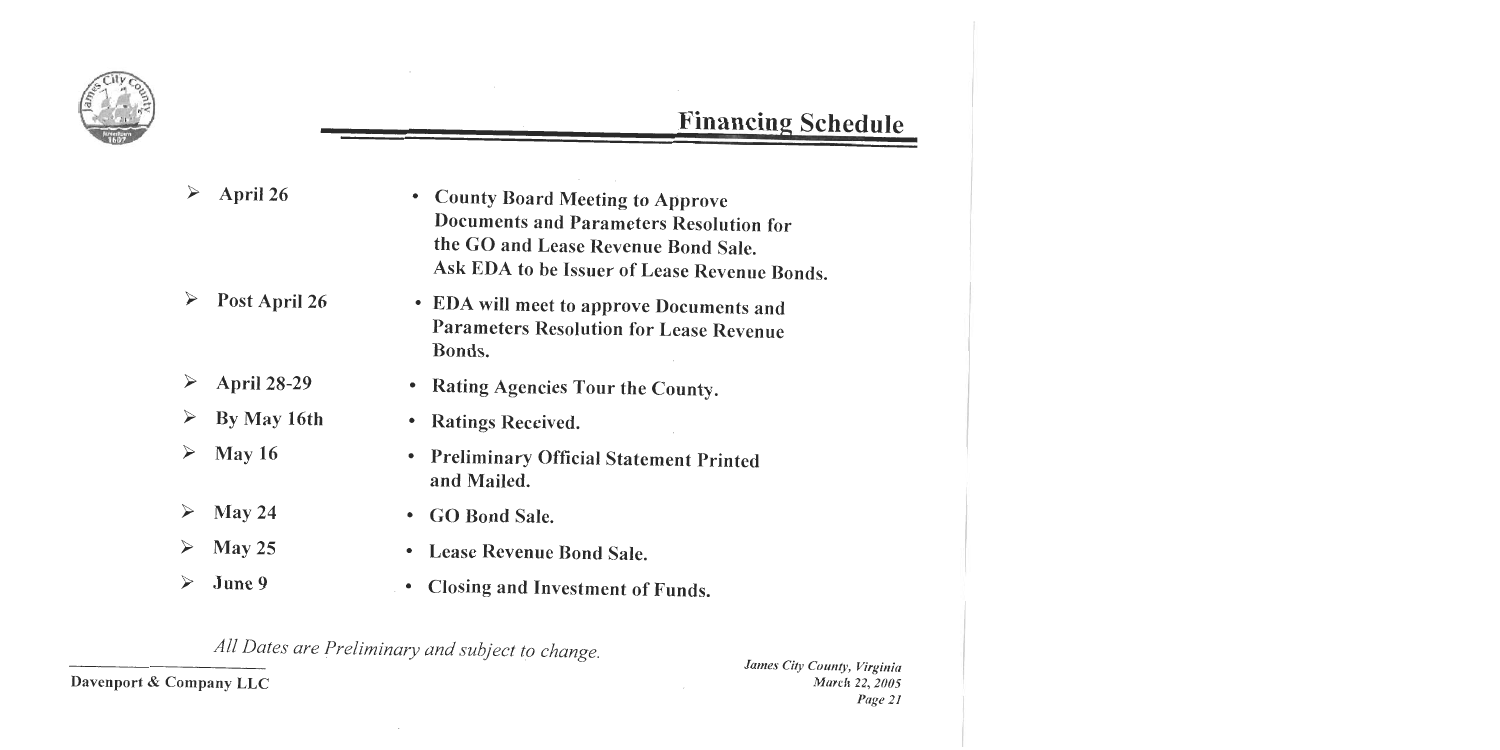

# **Financing Schedule**

 $\epsilon$ 

|                       | April 26           | <b>County Board Meeting to Approve</b><br>$\bullet$<br><b>Documents and Parameters Resolution for</b><br>the GO and Lease Revenue Bond Sale.<br>Ask EDA to be Issuer of Lease Revenue Bonds. |
|-----------------------|--------------------|----------------------------------------------------------------------------------------------------------------------------------------------------------------------------------------------|
|                       | Post April 26      | • EDA will meet to approve Documents and<br><b>Parameters Resolution for Lease Revenue</b><br>Bonds.                                                                                         |
| $\blacktriangleright$ | <b>April 28-29</b> | Rating Agencies Tour the County.<br>٠                                                                                                                                                        |
| ➤                     | By May 16th        | <b>Ratings Received.</b><br>٠                                                                                                                                                                |
| ➤                     | May 16             | <b>Preliminary Official Statement Printed</b><br>$\bullet$<br>and Mailed.                                                                                                                    |
| $\blacktriangleright$ | May 24             | <b>GO Bond Sale.</b><br>$\bullet$                                                                                                                                                            |
| $\blacktriangleright$ | May 25             | <b>Lease Revenue Bond Sale.</b><br>$\bullet$                                                                                                                                                 |
| $\blacktriangleright$ | June 9             | Closing and Investment of Funds.                                                                                                                                                             |

All Dates are Preliminary and subject to change.

Davenport & Company LLC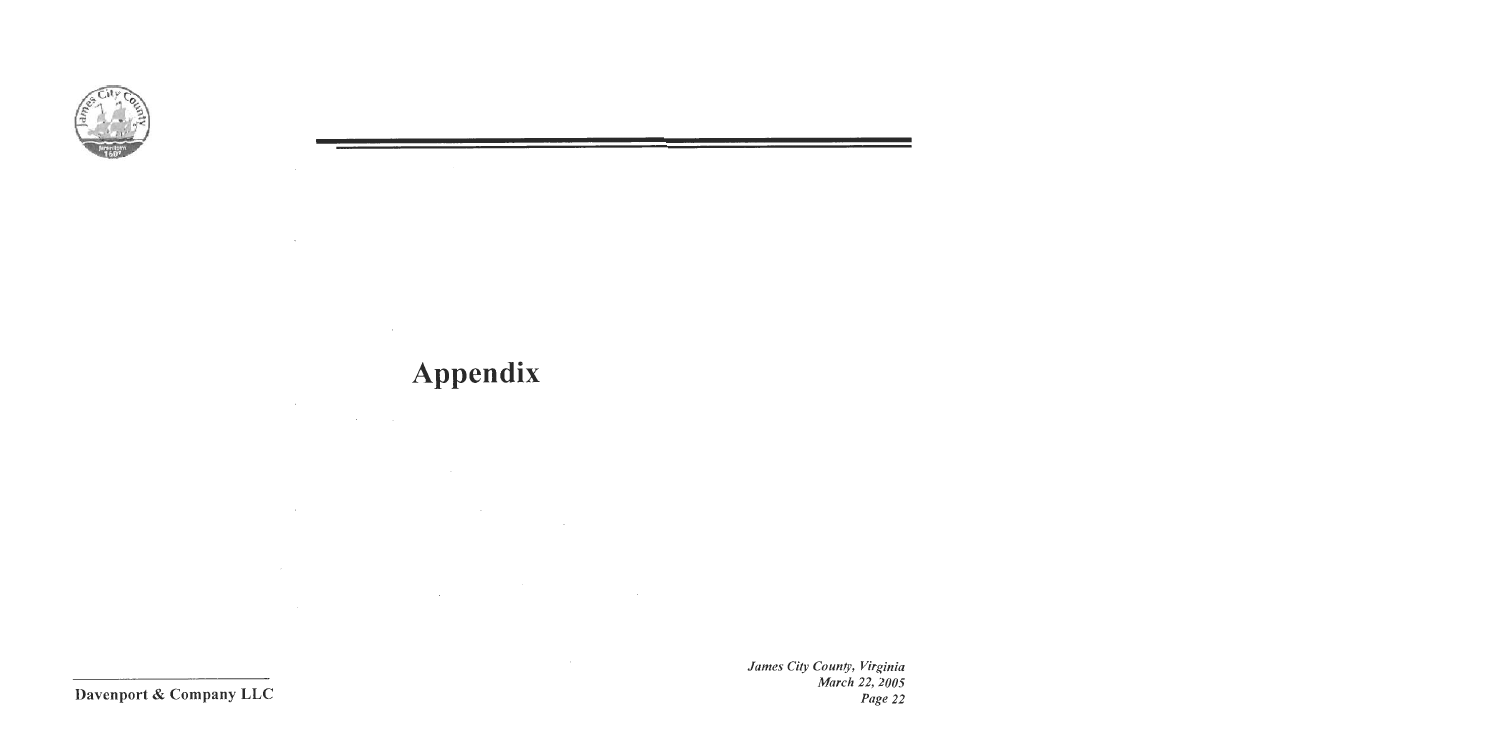

 $\sim$ 

 $\sim 10^7$ 

 $\sim 100$  km s  $^{-1}$ 

# Appendix

 $\sim 10^{11}$ 

 $\sim$ 

 $\sim 100$ 

 $\sim$ 

 $\mathcal{L}^{\mathcal{L}}(\mathcal{L}^{\mathcal{L}})$  and  $\mathcal{L}^{\mathcal{L}}(\mathcal{L}^{\mathcal{L}})$  and  $\mathcal{L}^{\mathcal{L}}(\mathcal{L}^{\mathcal{L}})$ 

James City County, Virginia March 22, 2005 Page 22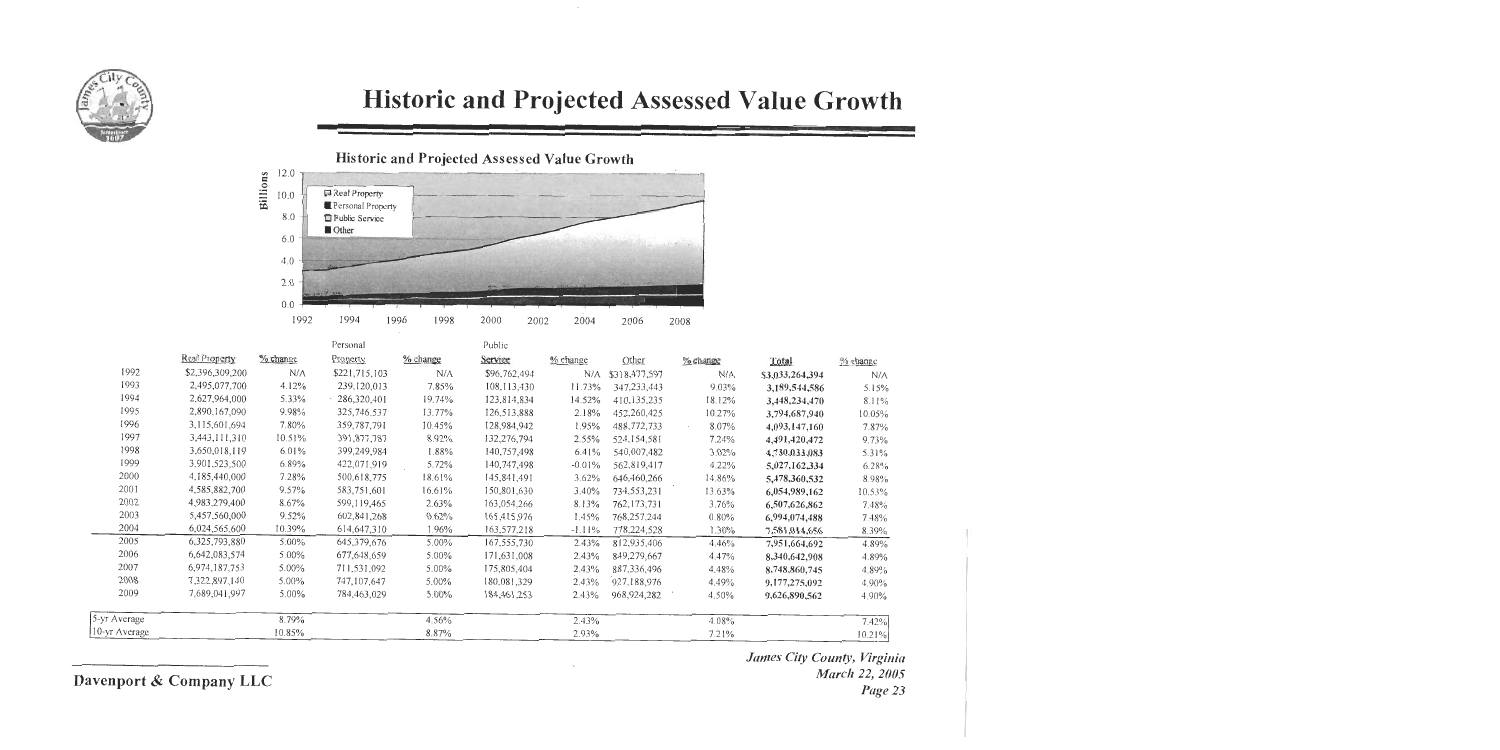

# Historic and Projected Assessed Value Growth

 $\cdot$ 

Historic and Projected Assessed Value Growth



|               |                 |          | Personal       |          | Public        |          |               |          |                 |           |
|---------------|-----------------|----------|----------------|----------|---------------|----------|---------------|----------|-----------------|-----------|
|               | Real Property   | % change | Property       | % change | Service       | % change | Other         | % change | Total           | % change  |
| 1992          | \$2,396,309,200 | N/A      | \$221,715,103  | N/A      | \$96,762,494  | N/A      | \$318,477,597 | N/A      | \$3,033,264,394 | N/A       |
| 1993          | 2,495,077,700   | 4.12%    | 239,120,013    | 7.85%    | 108,113,430   | 11.73%   | 347,233,443   | 9.03%    | 3,189,544,586   | 5.15%     |
| 1994          | 2,627,964,000   | 5.33%    | $-286,320,401$ | 19.74%   | 123,814,834   | 14.52%   | 410,135,235   | 18.12%   | 3,448,234,470   | 8.11%     |
| 1995          | 2,890,167,090   | 9.98%    | 325,746,537    | 13.77%   | 126,513,888   | 2.18%    | 452,260,425   | 10.27%   | 3,794,687,940   | $10.05\%$ |
| 1996          | 3,115,601,694   | 7.80%    | 359,787,791    | 10.45%   | 128,984,942   | 1.95%    | 488,772,733   | 8.07%    | 4,093,147,160   | 7.87%     |
| 1997          | 3,443,111,310   | 10.51%   | 391,877,787    | 8.92%    | 132,276,794   | 2.55%    | 524, 154, 581 | 7.24%    | 4,491,420,472   | 9.73%     |
| 1998          | 3,650,018,119   | 6.01%    | 399,249,984    | 1.88%    | 140,757,498   | 6.41%    | 540,007,482   | 3.02%    | 4,730,033,083   | 5.31%     |
| 1999          | 3,901,523,500   | 6.89%    | 422,071,919    | 5.72%    | 140,747,498   | $-0.01%$ | 562,819,417   | 4.22%    | 5,027,162,334   | 6.28%     |
| 2000          | 4,185,440,000   | 7.28%    | 500,618,775    | 18.61%   | 145,841,491   | 3.62%    | 646,460,266   | 14.86%   | 5,478,360,532   | 8.98%     |
| 2001          | 4,585,882,700   | 9.57%    | 583,751,601    | 16.61%   | 150,801,630   | 3.40%    | 734,553,231   | 13.63%   | 6,054,989,162   | 10.53%    |
| 2002          | 4,983,279,400   | 8.67%    | 599,119,465    | 2.63%    | 163,054,266   | 8.13%    | 762,173,731   | 3.76%    | 6,507,626,862   | 7.48%     |
| 2003          | 5,457,560,000   | 9.52%    | 602, 841, 268  | 0.62%    | 165,415,976   | 1.45%    | 768,257,244   | 0.80%    | 6,994,074,488   | 7.48%     |
| 2004          | 6,024,565,600   | 10.39%   | 614,647,310    | 1.96%    | 163,577,218   | $-1.11%$ | 778,224,528   | 1.30%    | 7,581,014,656   | 8.39%     |
| 2005          | 6,325,793,880   | 5.00%    | 645,379,676    | 5.00%    | 167,555,730   | 2.43%    | 812,935,406   | 4.46%    | 7,951,664,692   | 4.89%     |
| 2006          | 6,642,083,574   | 5.00%    | 677,648,659    | $5.00\%$ | 171,631,008   | 2.43%    | 849,279,667   | 4.47%    | 8,340,642,908   | 4.89%     |
| 2007          | 6,974,187,753   | 5.00%    | 711,531,092    | 5.00%    | 175,805,404   | 2.43%    | 887,336,496   | 4.48%    | 8,748,860,745   | 4.89%     |
| 2008          | 7,322,897,140   | $5.00\%$ | 747,107,647    | 5.00%    | 180,081.329   | 2.43%    | 927,188,976   | 4.49%    | 9,177,275,092   | 4.90%     |
| 2009          | 7.689,041,997   | $5.00\%$ | 784,463,029    | $5.00\%$ | 184, 461, 253 | 2.43%    | 968,924,282   | 4.50%    | 9,626,890,562   | 4.90%     |
| 5-yr Average  |                 | 8.79%    |                | 4.56%    |               | 2.43%    |               | 4.08%    |                 | 7.42%     |
| 10-yr Average |                 | 10.85%   |                | 8.87%    |               | 2.93%    |               | 7.21%    |                 | 10.21%    |
|               |                 |          |                |          |               |          |               |          |                 |           |

 $\cdot$ 

### Davenport & Company LLC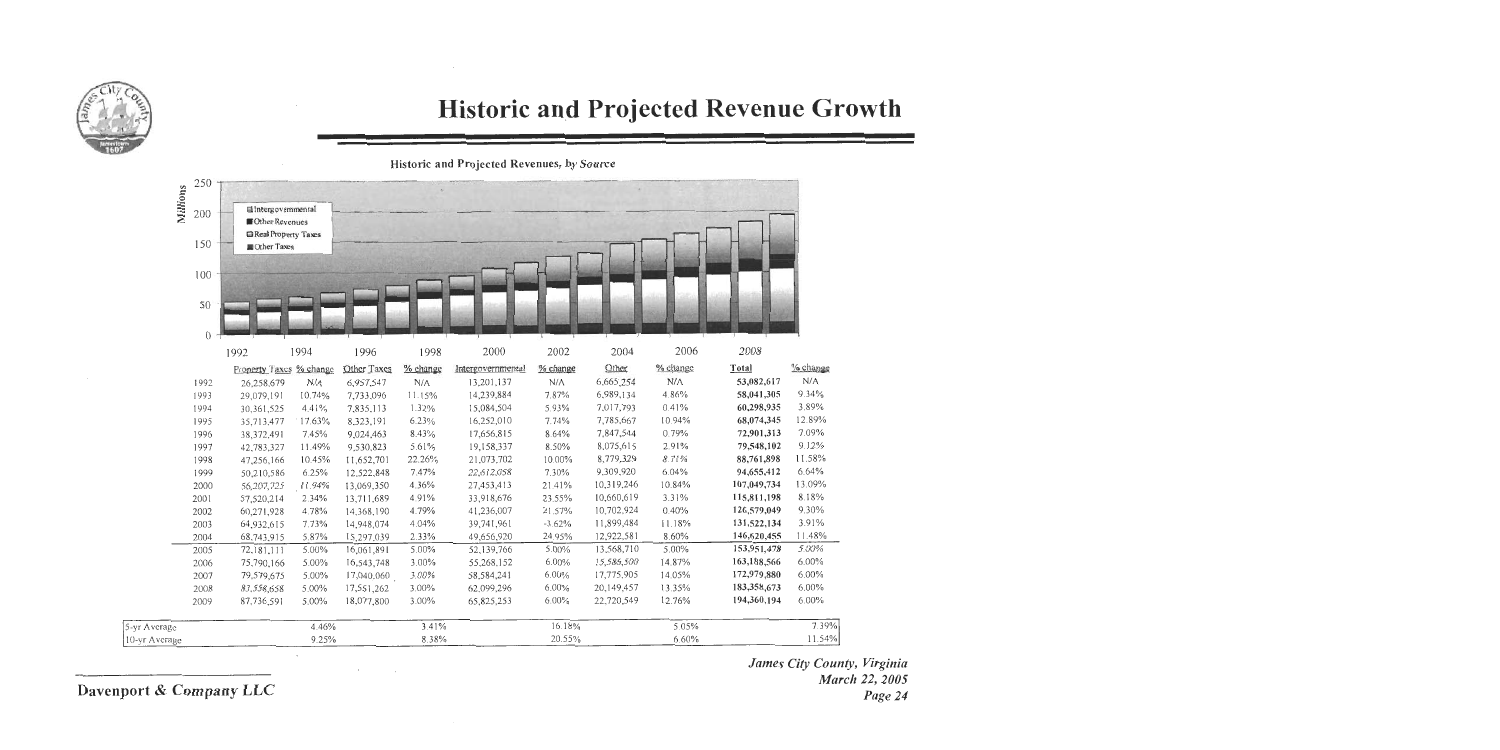

## **Historic and Projected Revenue Growth**

Historic and Projected Revenues, by Source

|                 | 250      |                                     |             |             |          |                   |             |            |             |             |          |
|-----------------|----------|-------------------------------------|-------------|-------------|----------|-------------------|-------------|------------|-------------|-------------|----------|
| <b>Millions</b> | 200      | latergovernmental<br>Other Revenues |             |             |          |                   |             |            |             |             |          |
|                 | 150      | Real Property Taxes<br>Other Taxes  |             |             |          |                   |             |            |             |             |          |
|                 | 100      |                                     |             |             |          |                   |             |            |             |             |          |
|                 | 50       |                                     |             |             |          |                   |             |            |             |             |          |
|                 | $\Omega$ | 1992                                | 1994        | 1996        | 1998     | 2000              | 2002        | 2004       | 2006        | 2008        |          |
|                 |          | Property Taxes % change             |             | Other Taxes | % change | Intergovernmental | % change    | Other      | % change    | Total       | % change |
|                 | 1992     | 26,258,679                          | $N/\Lambda$ | 6,957,547   | N/A      | 13,201,137        | $N/\Lambda$ | 6,665,254  | $N/\Lambda$ | 53,082,617  | N/A      |
|                 | 1993     | 29,079,191                          | 10.74%      | 7,733,096   | 11.15%   | 14,239,884        | 7.87%       | 6,989,134  | 4.86%       | 58,041,305  | 9.34%    |
|                 | 1994     | 30,361,525                          | 4.41%       | 7,835,113   | 1.32%    | 15,084,504        | 5.93%       | 7,017,793  | 0.41%       | 60,298,935  | 3.89%    |
|                 | 1995     | 35,713,477                          | 17.63%      | 8,323,191   | 6.23%    | 16,252,010        | 7.74%       | 7,785,667  | 10.94%      | 68,074,345  | 12.89%   |
|                 | 1996     | 38,372,491                          | 7.45%       | 9,024,463   | 8.43%    | 17,656,815        | 8.64%       | 7,847,544  | 0.79%       | 72,901,313  | 7.09%    |
|                 | 1997     | 42,783,327                          | 11.49%      | 9,530,823   | 5.61%    | 19,158,337        | 8.50%       | 8,075,615  | 2.91%       | 79,548,102  | 9.12%    |
|                 | 1998     | 47,256,166                          | 10.45%      | 11,652,701  | 22.26%   | 21,073,702        | 10.00%      | 8,779,329  | 8.71%       | 88,761,898  | 11.58%   |
|                 | 1999     | 50,210,586                          | 6.25%       | 12,522,848  | 7.47%    | 22,612,058        | 7.30%       | 9,309,920  | 6.04%       | 94,655,412  | 6.64%    |
|                 | 2000     | 56,207,725                          | 11.94%      | 13,069,350  | 4.36%    | 27,453,413        | 21.41%      | 10,319,246 | 10.84%      | 107,049,734 | 13.09%   |
|                 | 2001     | 57,520,214                          | 2.34%       | 13,711,689  | 4.91%    | 33,918,676        | 23.55%      | 10,660,619 | 3.31%       | 115,811,198 | 8.18%    |
|                 | 2002     | 60,271,928                          | 4.78%       | 14,368,190  | 4.79%    | 41,236,007        | 21.57%      | 10.702,924 | 0.40%       | 126,579,049 | 9.30%    |
|                 | 2003     | 64,932,615                          | 7.73%       | 14,948,074  | 4.04%    | 39,741,961        | $-3.62%$    | 11,899,484 | 11.18%      | 131,522,134 | 3.91%    |
|                 | 2004     | 68,743,915                          | 5.87%       | 15,297,039  | 2.33%    | 49,656,920        | 24.95%      | 12,922,581 | 8.60%       | 146,620,455 | 11.48%   |
|                 | 2005     | 72,181,111                          | 5.00%       | 16,061,891  | 5.00%    | 52,139,766        | 5.00%       | 13,568,710 | 5.00%       | 153,951,478 | 5.00%    |
|                 | 2006     | 75,790,166                          | 5.00%       | 16,543,748  | 3.00%    | 55,268.152        | 6.00%       | 15,586,500 | 14.87%      | 163,188,566 | 6.00%    |
|                 | 2007     | 79,579,675                          | 5.00%       | 17,040,060  | 3.00%    | 58,584,241        | 6.00%       | 17,775,905 | 14.05%      | 172,979,880 | 6.00%    |
|                 | 2008     | 83,558,658                          | 5.00%       | 17,551,262  | 3.00%    | 62,099,296        | 6.00%       | 20,149,457 | 13.35%      | 183,358,673 | 6.00%    |
|                 | 2009     | 87,736,591                          | 5.00%       | 18,077,800  | 3.00%    | 65,825,253        | 6.00%       | 22,720,549 | 12.76%      | 194,360,194 | 6.00%    |
| 5-yr Average    |          |                                     | 4.46%       |             | 3.41%    |                   | 16.18%      |            | 5.05%       |             | 7.39%    |
| 10-yr Average   |          |                                     | 9.25%       |             | 8.38%    |                   | 20.55%      |            | 6.60%       |             | 11.54%   |

Davenport & Company LLC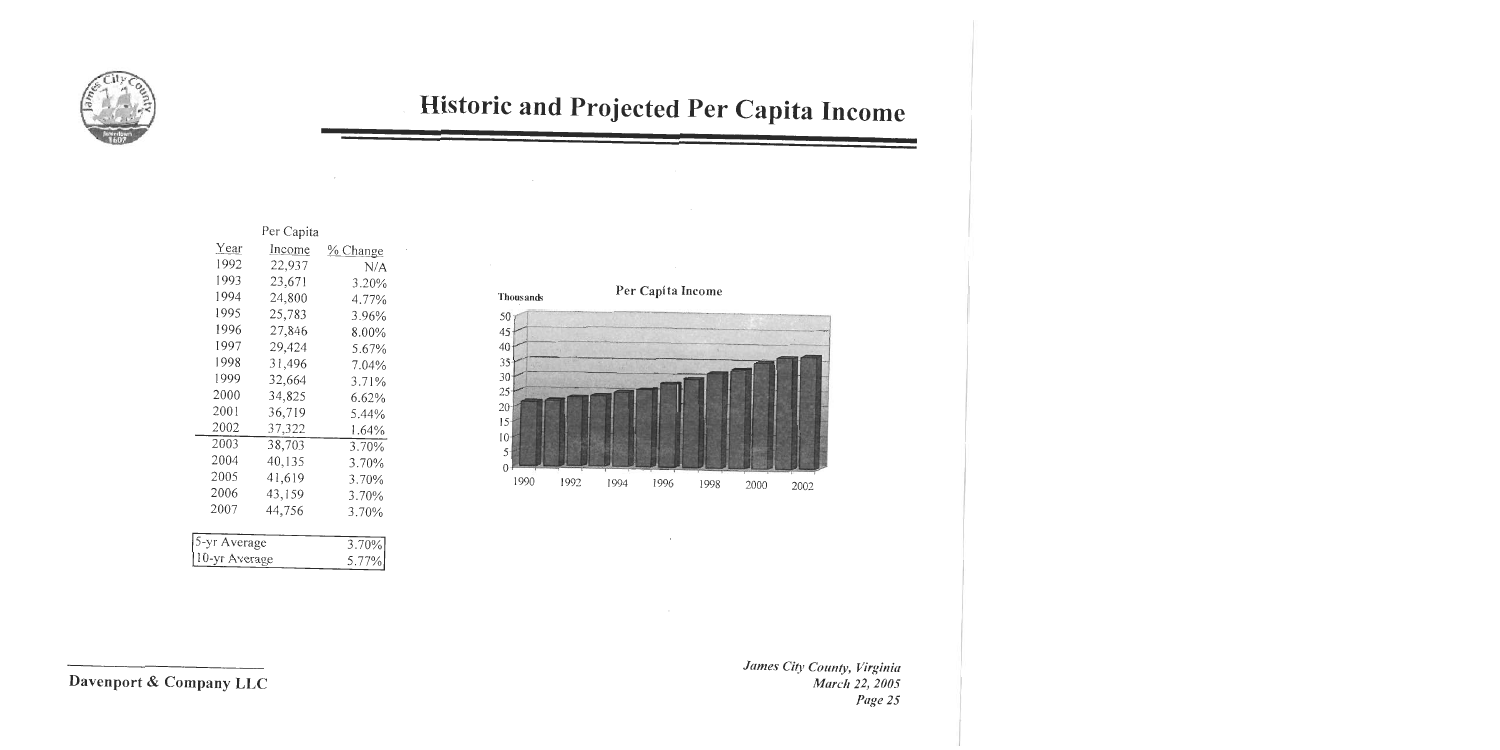

# Historic and Projected Per Capita Income

 $\sim$ 

| Per Capita   |        |          |  |  |  |  |  |  |
|--------------|--------|----------|--|--|--|--|--|--|
| Year         | Income | % Change |  |  |  |  |  |  |
| 1992         | 22,937 | N/A      |  |  |  |  |  |  |
| 1993         | 23,671 | 3.20%    |  |  |  |  |  |  |
| 1994         | 24,800 | 4.77%    |  |  |  |  |  |  |
| 1995         | 25,783 | 3.96%    |  |  |  |  |  |  |
| 1996         | 27,846 | 8.00%    |  |  |  |  |  |  |
| 1997         | 29,424 | 5.67%    |  |  |  |  |  |  |
| 1998         | 31,496 | 7.04%    |  |  |  |  |  |  |
| 1999         | 32,664 | 3.71%    |  |  |  |  |  |  |
| 2000         | 34,825 | 6.62%    |  |  |  |  |  |  |
| 2001         | 36,719 | 5.44%    |  |  |  |  |  |  |
| 2002         | 37,322 | 1.64%    |  |  |  |  |  |  |
| 2003         | 38,703 | 3.70%    |  |  |  |  |  |  |
| 2004         | 40,135 | 3.70%    |  |  |  |  |  |  |
| 2005         | 41,619 | 3.70%    |  |  |  |  |  |  |
| 2006         | 43,159 | 3.70%    |  |  |  |  |  |  |
| 2007         | 44,756 | 3.70%    |  |  |  |  |  |  |
|              |        |          |  |  |  |  |  |  |
| 5-yr Average | 3.70%  |          |  |  |  |  |  |  |
| 0-yr Average | 5.77%  |          |  |  |  |  |  |  |
|              |        |          |  |  |  |  |  |  |

 $\sim$ 

 $\cdot$ 



 $\sim$